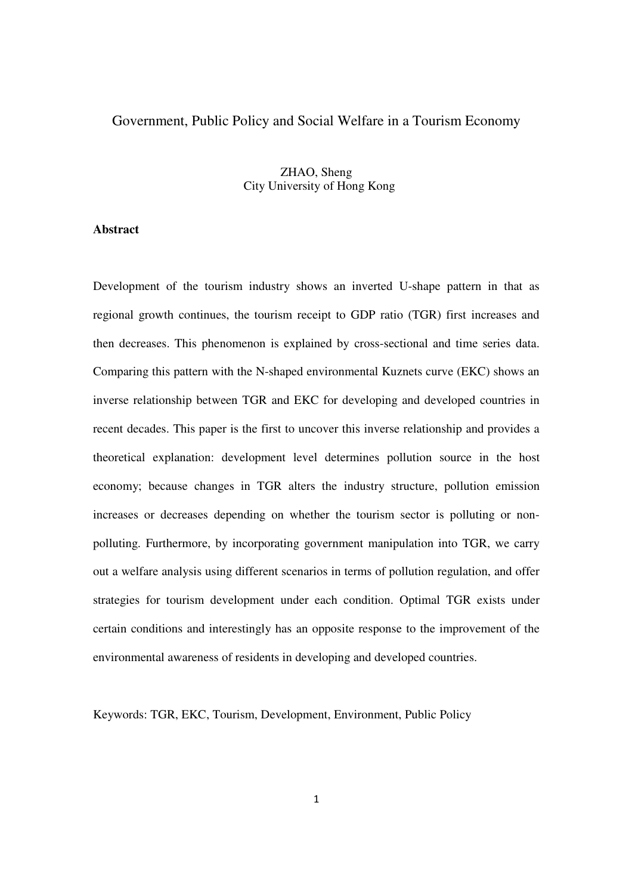# Government, Public Policy and Social Welfare in a Tourism Economy

# ZHAO, Sheng City University of Hong Kong

### **Abstract**

Development of the tourism industry shows an inverted U-shape pattern in that as regional growth continues, the tourism receipt to GDP ratio (TGR) first increases and then decreases. This phenomenon is explained by cross-sectional and time series data. Comparing this pattern with the N-shaped environmental Kuznets curve (EKC) shows an inverse relationship between TGR and EKC for developing and developed countries in recent decades. This paper is the first to uncover this inverse relationship and provides a theoretical explanation: development level determines pollution source in the host economy; because changes in TGR alters the industry structure, pollution emission increases or decreases depending on whether the tourism sector is polluting or nonpolluting. Furthermore, by incorporating government manipulation into TGR, we carry out a welfare analysis using different scenarios in terms of pollution regulation, and offer strategies for tourism development under each condition. Optimal TGR exists under certain conditions and interestingly has an opposite response to the improvement of the environmental awareness of residents in developing and developed countries.

Keywords: TGR, EKC, Tourism, Development, Environment, Public Policy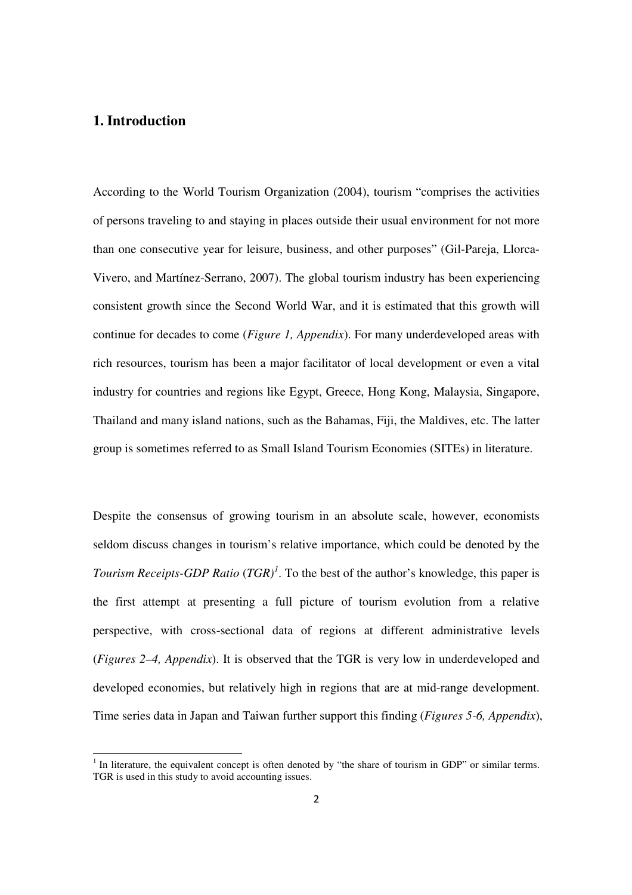# **1. Introduction**

<u>.</u>

According to the World Tourism Organization (2004), tourism "comprises the activities of persons traveling to and staying in places outside their usual environment for not more than one consecutive year for leisure, business, and other purposes" (Gil-Pareja, Llorca-Vivero, and Martínez-Serrano, 2007). The global tourism industry has been experiencing consistent growth since the Second World War, and it is estimated that this growth will continue for decades to come (*Figure 1, Appendix*). For many underdeveloped areas with rich resources, tourism has been a major facilitator of local development or even a vital industry for countries and regions like Egypt, Greece, Hong Kong, Malaysia, Singapore, Thailand and many island nations, such as the Bahamas, Fiji, the Maldives, etc. The latter group is sometimes referred to as Small Island Tourism Economies (SITEs) in literature.

Despite the consensus of growing tourism in an absolute scale, however, economists seldom discuss changes in tourism's relative importance, which could be denoted by the *Tourism Receipts-GDP Ratio* (*TGR)<sup>1</sup>* . To the best of the author's knowledge, this paper is the first attempt at presenting a full picture of tourism evolution from a relative perspective, with cross-sectional data of regions at different administrative levels (*Figures 2–4, Appendix*). It is observed that the TGR is very low in underdeveloped and developed economies, but relatively high in regions that are at mid-range development. Time series data in Japan and Taiwan further support this finding (*Figures 5-6, Appendix*),

<sup>&</sup>lt;sup>1</sup> In literature, the equivalent concept is often denoted by "the share of tourism in GDP" or similar terms. TGR is used in this study to avoid accounting issues.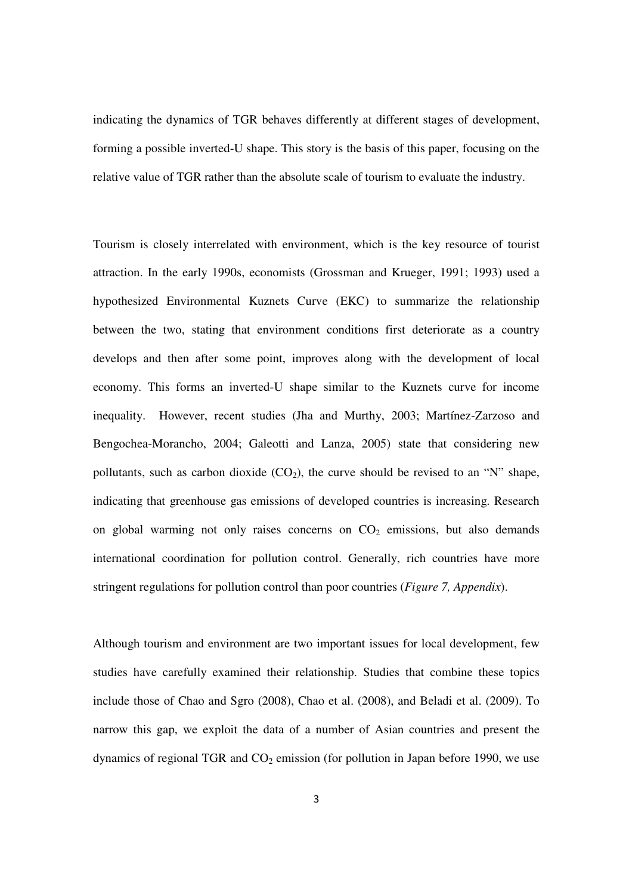indicating the dynamics of TGR behaves differently at different stages of development, forming a possible inverted-U shape. This story is the basis of this paper, focusing on the relative value of TGR rather than the absolute scale of tourism to evaluate the industry.

Tourism is closely interrelated with environment, which is the key resource of tourist attraction. In the early 1990s, economists (Grossman and Krueger, 1991; 1993) used a hypothesized Environmental Kuznets Curve (EKC) to summarize the relationship between the two, stating that environment conditions first deteriorate as a country develops and then after some point, improves along with the development of local economy. This forms an inverted-U shape similar to the Kuznets curve for income inequality. However, recent studies (Jha and Murthy, 2003; Martínez-Zarzoso and Bengochea-Morancho, 2004; Galeotti and Lanza, 2005) state that considering new pollutants, such as carbon dioxide  $(CO_2)$ , the curve should be revised to an "N" shape, indicating that greenhouse gas emissions of developed countries is increasing. Research on global warming not only raises concerns on  $CO<sub>2</sub>$  emissions, but also demands international coordination for pollution control. Generally, rich countries have more stringent regulations for pollution control than poor countries (*Figure 7, Appendix*).

Although tourism and environment are two important issues for local development, few studies have carefully examined their relationship. Studies that combine these topics include those of Chao and Sgro (2008), Chao et al. (2008), and Beladi et al. (2009). To narrow this gap, we exploit the data of a number of Asian countries and present the dynamics of regional TGR and  $CO<sub>2</sub>$  emission (for pollution in Japan before 1990, we use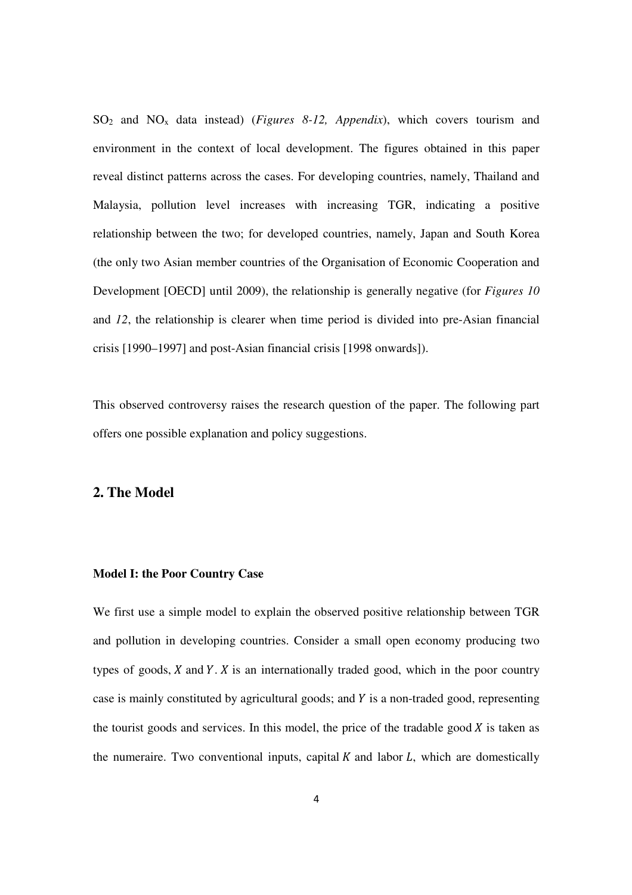SO2 and NOx data instead) (*Figures 8-12, Appendix*), which covers tourism and environment in the context of local development. The figures obtained in this paper reveal distinct patterns across the cases. For developing countries, namely, Thailand and Malaysia, pollution level increases with increasing TGR, indicating a positive relationship between the two; for developed countries, namely, Japan and South Korea (the only two Asian member countries of the Organisation of Economic Cooperation and Development [OECD] until 2009), the relationship is generally negative (for *Figures 10* and *12*, the relationship is clearer when time period is divided into pre-Asian financial crisis [1990–1997] and post-Asian financial crisis [1998 onwards]).

This observed controversy raises the research question of the paper. The following part offers one possible explanation and policy suggestions.

### **2. The Model**

#### **Model I: the Poor Country Case**

We first use a simple model to explain the observed positive relationship between TGR and pollution in developing countries. Consider a small open economy producing two types of goods,  $X$  and  $Y$ .  $X$  is an internationally traded good, which in the poor country case is mainly constituted by agricultural goods; and  $Y$  is a non-traded good, representing the tourist goods and services. In this model, the price of the tradable good  $X$  is taken as the numeraire. Two conventional inputs, capital  $K$  and labor  $L$ , which are domestically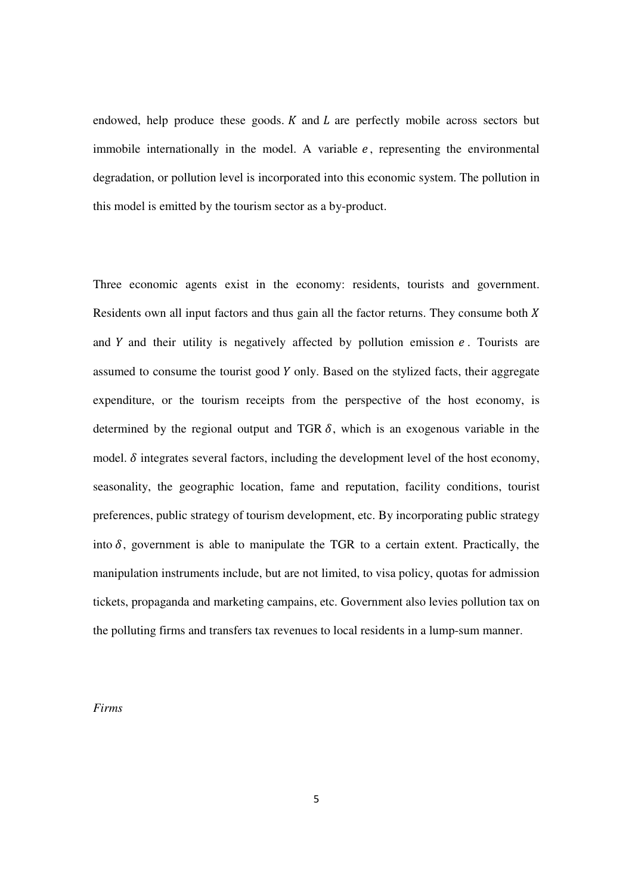endowed, help produce these goods.  $K$  and  $L$  are perfectly mobile across sectors but immobile internationally in the model. A variable  $e$ , representing the environmental degradation, or pollution level is incorporated into this economic system. The pollution in this model is emitted by the tourism sector as a by-product.

Three economic agents exist in the economy: residents, tourists and government. Residents own all input factors and thus gain all the factor returns. They consume both  $X$ and  $Y$  and their utility is negatively affected by pollution emission  $e$ . Tourists are assumed to consume the tourist good  $Y$  only. Based on the stylized facts, their aggregate expenditure, or the tourism receipts from the perspective of the host economy, is determined by the regional output and TGR  $\delta$ , which is an exogenous variable in the model.  $\delta$  integrates several factors, including the development level of the host economy, seasonality, the geographic location, fame and reputation, facility conditions, tourist preferences, public strategy of tourism development, etc. By incorporating public strategy into  $\delta$ , government is able to manipulate the TGR to a certain extent. Practically, the manipulation instruments include, but are not limited, to visa policy, quotas for admission tickets, propaganda and marketing campains, etc. Government also levies pollution tax on the polluting firms and transfers tax revenues to local residents in a lump-sum manner.

*Firms*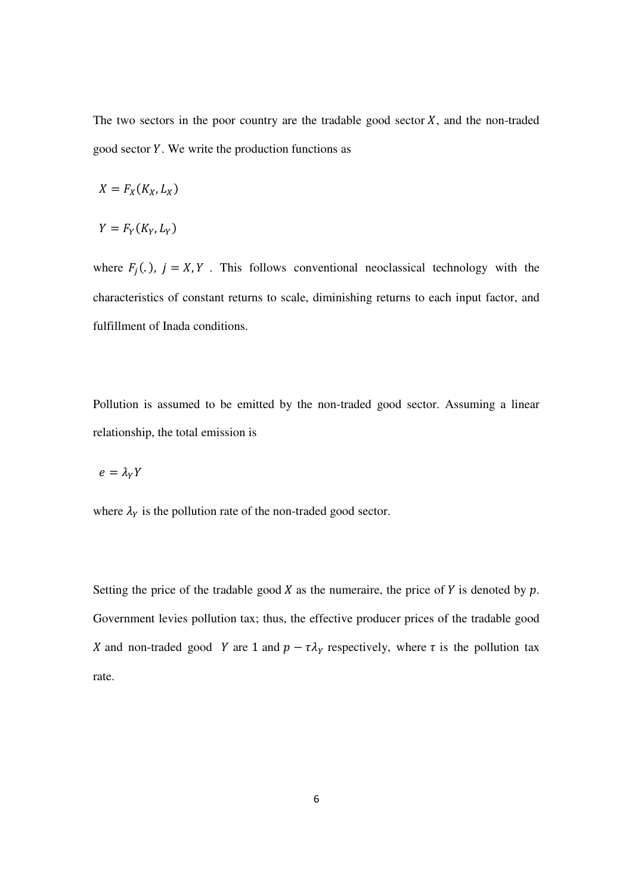The two sectors in the poor country are the tradable good sector  $X$ , and the non-traded good sector Y. We write the production functions as

$$
X = F_X(K_X, L_X)
$$

$$
Y = F_Y(K_Y, L_Y)
$$

where  $F_j(.)$ ,  $j = X, Y$ . This follows conventional neoclassical technology with the characteristics of constant returns to scale, diminishing returns to each input factor, and fulfillment of Inada conditions.

Pollution is assumed to be emitted by the non-traded good sector. Assuming a linear relationship, the total emission is

$$
e=\lambda_Y Y
$$

where  $\lambda_Y$  is the pollution rate of the non-traded good sector.

Setting the price of the tradable good  $X$  as the numeraire, the price of  $Y$  is denoted by  $p$ . Government levies pollution tax; thus, the effective producer prices of the tradable good X and non-traded good Y are 1 and  $p - \tau \lambda_Y$  respectively, where  $\tau$  is the pollution tax rate.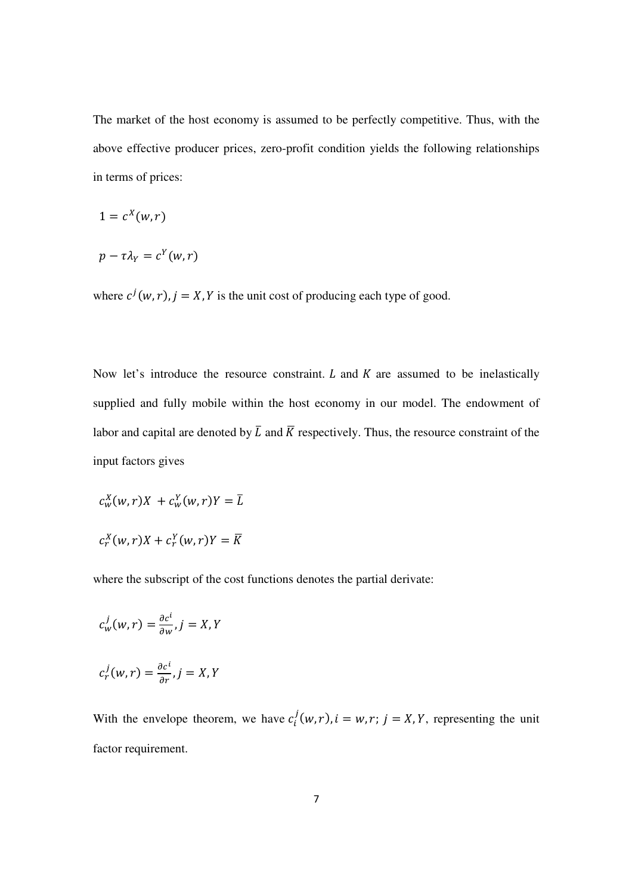The market of the host economy is assumed to be perfectly competitive. Thus, with the above effective producer prices, zero-profit condition yields the following relationships in terms of prices:

$$
1=c^X(w,r)
$$

$$
p-\tau\lambda_Y=c^Y(w,r)
$$

where  $c^{j}(w,r)$ ,  $j = X, Y$  is the unit cost of producing each type of good.

Now let's introduce the resource constraint.  $L$  and  $K$  are assumed to be inelastically supplied and fully mobile within the host economy in our model. The endowment of labor and capital are denoted by  $\overline{L}$  and  $\overline{K}$  respectively. Thus, the resource constraint of the input factors gives

$$
c_w^X(w,r)X + c_w^Y(w,r)Y = \overline{L}
$$
  

$$
c_r^X(w,r)X + c_r^Y(w,r)Y = \overline{K}
$$

where the subscript of the cost functions denotes the partial derivate:

$$
c_w^j(w,r) = \frac{\partial c^i}{\partial w}, j = X, Y
$$
  

$$
c_r^j(w,r) = \frac{\partial c^i}{\partial r}, j = X, Y
$$

With the envelope theorem, we have  $c_i^j(w, r)$ ,  $i = w, r; j = X, Y$ , representing the unit factor requirement.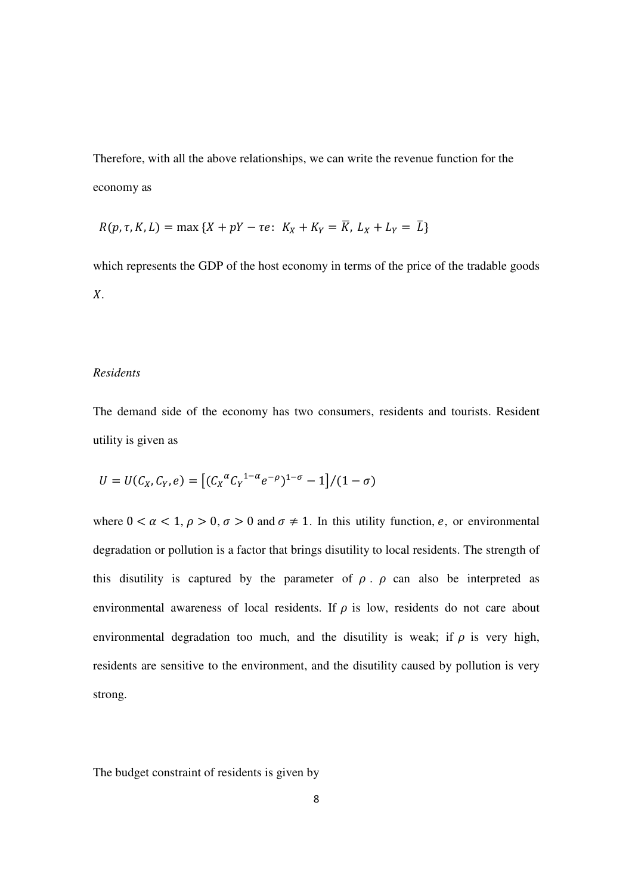Therefore, with all the above relationships, we can write the revenue function for the economy as

$$
R(p, \tau, K, L) = \max \{ X + pY - \tau e : K_X + K_Y = \overline{K}, L_X + L_Y = \overline{L} \}
$$

which represents the GDP of the host economy in terms of the price of the tradable goods  $X$ .

### *Residents*

The demand side of the economy has two consumers, residents and tourists. Resident utility is given as

$$
U = U(C_X, C_Y, e) = \left[ (C_X^{\alpha} C_Y^{1-\alpha} e^{-\rho})^{1-\sigma} - 1 \right] / (1 - \sigma)
$$

where  $0 < \alpha < 1$ ,  $\rho > 0$ ,  $\sigma > 0$  and  $\sigma \neq 1$ . In this utility function, e, or environmental degradation or pollution is a factor that brings disutility to local residents. The strength of this disutility is captured by the parameter of  $\rho$ .  $\rho$  can also be interpreted as environmental awareness of local residents. If  $\rho$  is low, residents do not care about environmental degradation too much, and the disutility is weak; if  $\rho$  is very high, residents are sensitive to the environment, and the disutility caused by pollution is very strong.

The budget constraint of residents is given by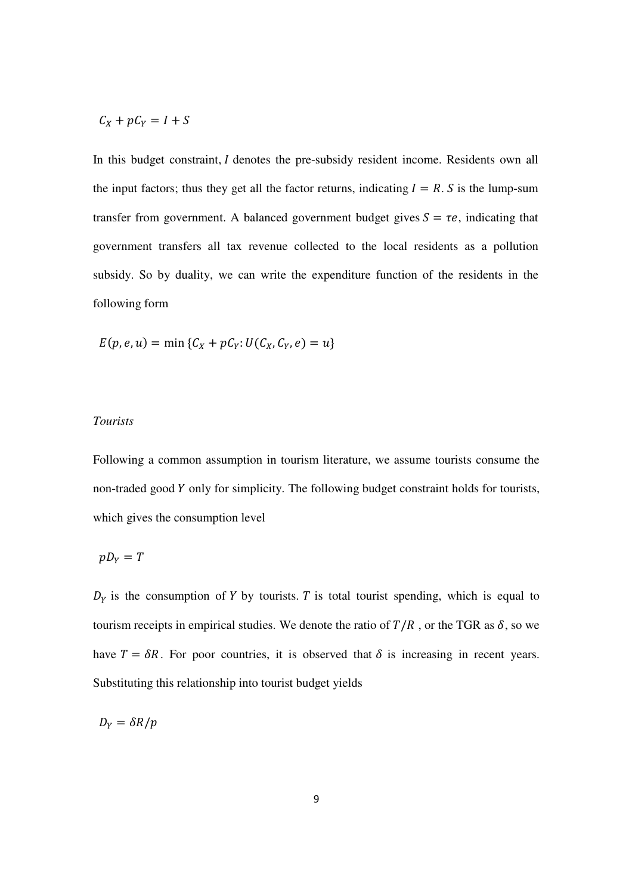$$
C_X + pC_Y = I + S
$$

In this budget constraint,  $I$  denotes the pre-subsidy resident income. Residents own all the input factors; thus they get all the factor returns, indicating  $I = R$ . S is the lump-sum transfer from government. A balanced government budget gives  $S = \tau e$ , indicating that government transfers all tax revenue collected to the local residents as a pollution subsidy. So by duality, we can write the expenditure function of the residents in the following form

$$
E(p, e, u) = \min \{C_X + pC_Y : U(C_X, C_Y, e) = u\}
$$

### *Tourists*

Following a common assumption in tourism literature, we assume tourists consume the non-traded good Y only for simplicity. The following budget constraint holds for tourists, which gives the consumption level

$$
pD_Y=T
$$

 $D<sub>Y</sub>$  is the consumption of Y by tourists. T is total tourist spending, which is equal to tourism receipts in empirical studies. We denote the ratio of  $T/R$ , or the TGR as  $\delta$ , so we have  $T = \delta R$ . For poor countries, it is observed that  $\delta$  is increasing in recent years. Substituting this relationship into tourist budget yields

$$
D_Y = \delta R/p
$$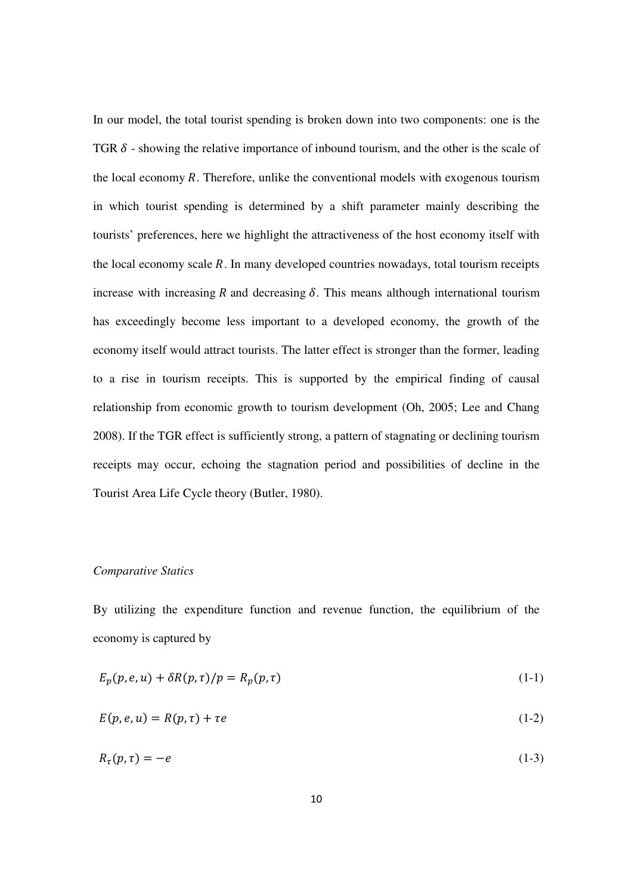In our model, the total tourist spending is broken down into two components: one is the TGR  $\delta$  - showing the relative importance of inbound tourism, and the other is the scale of the local economy  $R$ . Therefore, unlike the conventional models with exogenous tourism in which tourist spending is determined by a shift parameter mainly describing the tourists' preferences, here we highlight the attractiveness of the host economy itself with the local economy scale  $R$ . In many developed countries nowadays, total tourism receipts increase with increasing  $R$  and decreasing  $\delta$ . This means although international tourism has exceedingly become less important to a developed economy, the growth of the economy itself would attract tourists. The latter effect is stronger than the former, leading to a rise in tourism receipts. This is supported by the empirical finding of causal relationship from economic growth to tourism development (Oh, 2005; Lee and Chang 2008). If the TGR effect is sufficiently strong, a pattern of stagnating or declining tourism receipts may occur, echoing the stagnation period and possibilities of decline in the Tourist Area Life Cycle theory (Butler, 1980).

### *Comparative Statics*

By utilizing the expenditure function and revenue function, the equilibrium of the economy is captured by

$$
E_p(p, e, u) + \delta R(p, \tau) / p = R_p(p, \tau)
$$
\n(1-1)

$$
E(p, e, u) = R(p, \tau) + \tau e \tag{1-2}
$$

$$
R_{\tau}(p,\tau) = -e \tag{1-3}
$$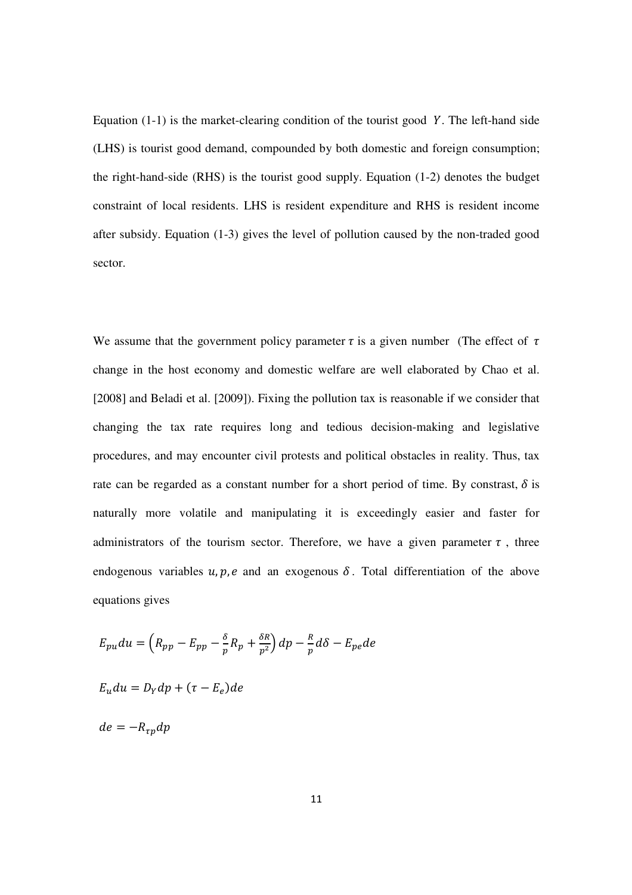Equation  $(1-1)$  is the market-clearing condition of the tourist good Y. The left-hand side (LHS) is tourist good demand, compounded by both domestic and foreign consumption; the right-hand-side (RHS) is the tourist good supply. Equation (1-2) denotes the budget constraint of local residents. LHS is resident expenditure and RHS is resident income after subsidy. Equation (1-3) gives the level of pollution caused by the non-traded good sector.

We assume that the government policy parameter  $\tau$  is a given number (The effect of  $\tau$ ) change in the host economy and domestic welfare are well elaborated by Chao et al. [2008] and Beladi et al. [2009]). Fixing the pollution tax is reasonable if we consider that changing the tax rate requires long and tedious decision-making and legislative procedures, and may encounter civil protests and political obstacles in reality. Thus, tax rate can be regarded as a constant number for a short period of time. By constrast,  $\delta$  is naturally more volatile and manipulating it is exceedingly easier and faster for administrators of the tourism sector. Therefore, we have a given parameter  $\tau$ , three endogenous variables  $u, p, e$  and an exogenous  $\delta$ . Total differentiation of the above equations gives

$$
E_{pu}du = \left(R_{pp} - E_{pp} - \frac{\delta}{p}R_p + \frac{\delta R}{p^2}\right)dp - \frac{R}{p}d\delta - E_{pe}de
$$

$$
E_u du = D_Y dp + (\tau - E_e) de
$$

 $de = -R_{\tau n}dp$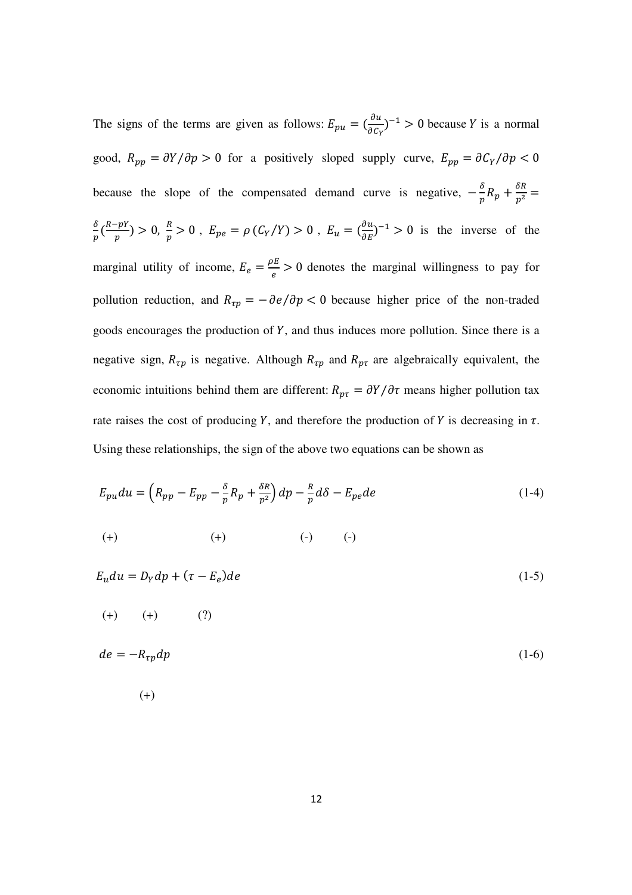The signs of the terms are given as follows:  $E_{pu} = \left(\frac{\partial u}{\partial c_1}\right)$  $\frac{\partial u}{\partial c_Y}$  = 1 > 0 because Y is a normal good,  $R_{pp} = \partial Y / \partial p > 0$  for a positively sloped supply curve,  $E_{pp} = \partial C_Y / \partial p < 0$ because the slope of the compensated demand curve is negative,  $-\frac{\delta}{n}$  $\frac{\delta}{p}R_p + \frac{\delta R}{p^2} =$  $\delta$  $\frac{\delta}{p}$   $\left(\frac{R-pY}{p}\right)$  $\frac{f-pY}{p} > 0$ ,  $E_{pe} = \rho (C_Y/Y) > 0$ ,  $E_u = (\frac{\partial u}{\partial E})^{-1} > 0$  is the inverse of the marginal utility of income,  $E_e = \frac{\rho E}{\rho}$  $\frac{\partial E}{\partial e} > 0$  denotes the marginal willingness to pay for pollution reduction, and  $R_{\tau p} = -\frac{\partial e}{\partial p} < 0$  because higher price of the non-traded goods encourages the production of  $Y$ , and thus induces more pollution. Since there is a negative sign,  $R_{\tau p}$  is negative. Although  $R_{\tau p}$  and  $R_{p\tau}$  are algebraically equivalent, the economic intuitions behind them are different:  $R_{p\tau} = \partial Y / \partial \tau$  means higher pollution tax rate raises the cost of producing Y, and therefore the production of Y is decreasing in  $\tau$ . Using these relationships, the sign of the above two equations can be shown as

$$
E_{pu}du = \left(R_{pp} - E_{pp} - \frac{\delta}{p}R_p + \frac{\delta R}{p^2}\right)dp - \frac{R}{p}d\delta - E_{pe}de
$$
\n
$$
(1-4)
$$
\n
$$
(+) \qquad (-) \qquad (-)
$$

$$
E_u du = D_Y dp + (\tau - E_e)de
$$
  
(+) (+) (?)  

$$
de = -R_{\tau p} dp
$$
 (1-6)

(+)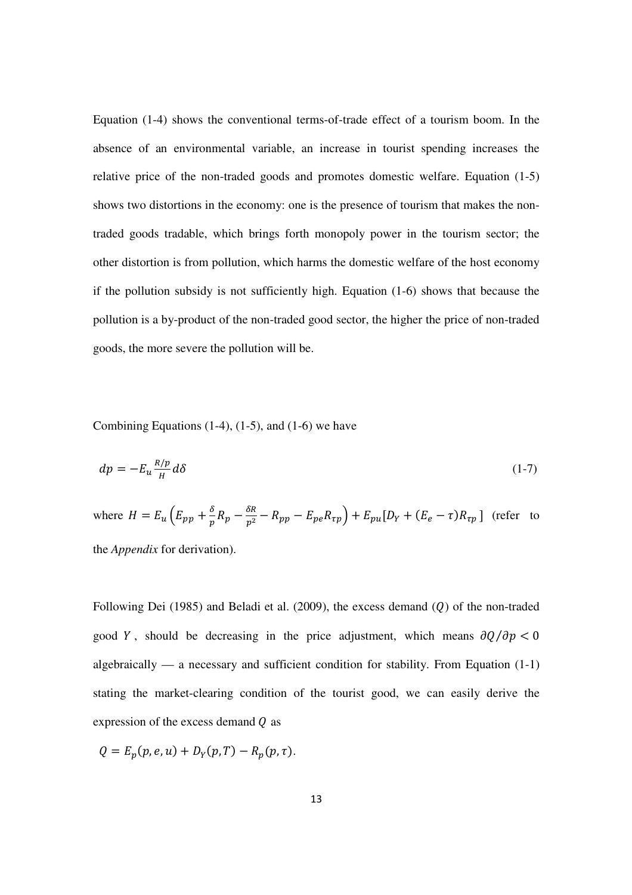Equation (1-4) shows the conventional terms-of-trade effect of a tourism boom. In the absence of an environmental variable, an increase in tourist spending increases the relative price of the non-traded goods and promotes domestic welfare. Equation (1-5) shows two distortions in the economy: one is the presence of tourism that makes the nontraded goods tradable, which brings forth monopoly power in the tourism sector; the other distortion is from pollution, which harms the domestic welfare of the host economy if the pollution subsidy is not sufficiently high. Equation (1-6) shows that because the pollution is a by-product of the non-traded good sector, the higher the price of non-traded goods, the more severe the pollution will be.

Combining Equations  $(1-4)$ ,  $(1-5)$ , and  $(1-6)$  we have

$$
dp = -E_u \frac{R/p}{H} d\delta \tag{1-7}
$$

where  $H = E_u \left( E_{pp} + \frac{\delta}{n} \right)$  $\frac{\delta}{p}R_p - \frac{\delta R}{p^2} - R_{pp} - E_{pe}R_{\tau p}\right) + E_{pu}[D_Y + (E_e - \tau)R_{\tau p}]$  (refer to the *Appendix* for derivation).

Following Dei (1985) and Beladi et al. (2009), the excess demand  $(Q)$  of the non-traded good Y, should be decreasing in the price adjustment, which means  $\partial Q/\partial p < 0$ algebraically — a necessary and sufficient condition for stability. From Equation (1-1) stating the market-clearing condition of the tourist good, we can easily derive the expression of the excess demand  *as* 

 $Q = E_p(p, e, u) + D_Y(p, T) - R_p(p, \tau).$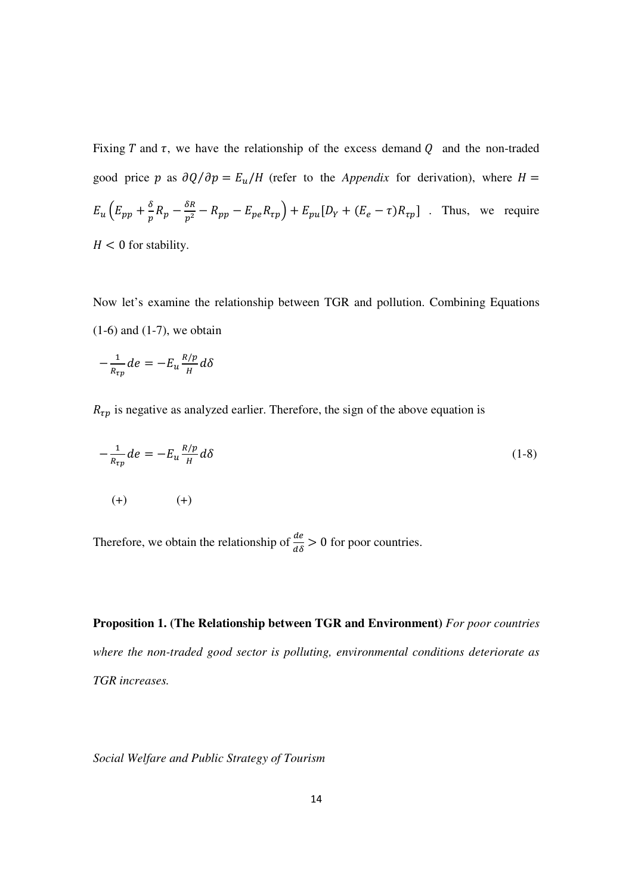Fixing T and  $\tau$ , we have the relationship of the excess demand Q and the non-traded good price p as  $\partial Q/\partial p = E_u/H$  (refer to the *Appendix* for derivation), where H =  $E_u(E_{pp} + \frac{\delta}{n})$  $\frac{\delta}{p}R_p - \frac{\delta R}{p^2} - R_{pp} - E_{pe}R_{tp}$  +  $E_{pu}[D_Y + (E_e - \tau)R_{tp}]$  . Thus, we require  $H < 0$  for stability.

Now let's examine the relationship between TGR and pollution. Combining Equations  $(1-6)$  and  $(1-7)$ , we obtain

$$
-\frac{1}{R_{\tau p}}de = -E_u \frac{R/p}{H} d\delta
$$

 $R_{\tau p}$  is negative as analyzed earlier. Therefore, the sign of the above equation is

$$
-\frac{1}{R_{\tau p}}de = -E_u \frac{R/p}{H} d\delta
$$
\n
$$
(1-8)
$$
\n
$$
(1-8)
$$
\n
$$
(1-8)
$$

Therefore, we obtain the relationship of  $\frac{de}{d\delta} > 0$  for poor countries.

**Proposition 1. (The Relationship between TGR and Environment)** *For poor countries where the non-traded good sector is polluting, environmental conditions deteriorate as TGR increases.* 

*Social Welfare and Public Strategy of Tourism*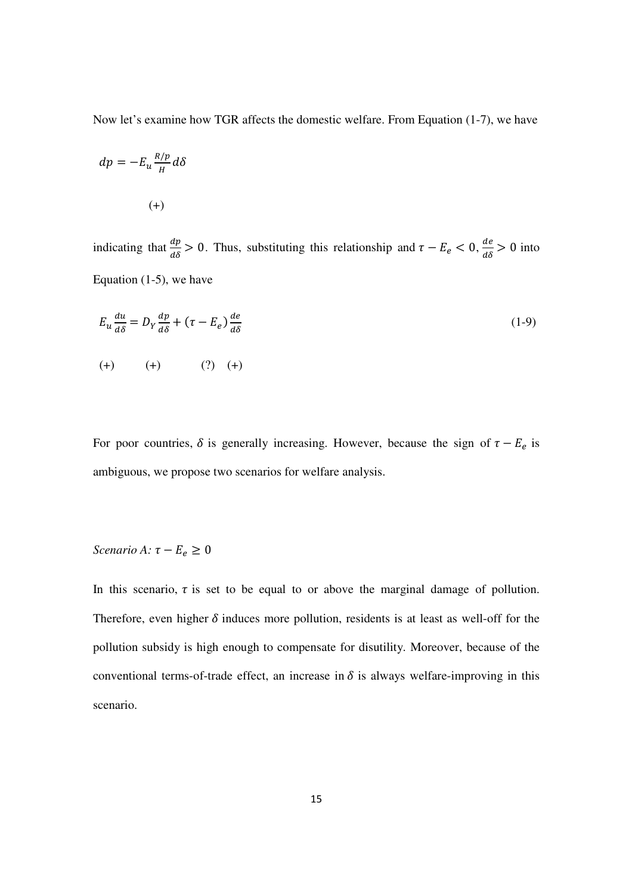Now let's examine how TGR affects the domestic welfare. From Equation (1-7), we have

$$
dp = -E_u \frac{R/p}{H} d\delta
$$
  
(+)

indicating that  $\frac{dp}{d\delta} > 0$ . Thus, substituting this relationship and  $\tau - E_e < 0$ ,  $\frac{de}{d\delta} > 0$  into Equation (1-5), we have

$$
E_u \frac{du}{d\delta} = D_Y \frac{dp}{d\delta} + (\tau - E_e) \frac{de}{d\delta}
$$
  
(1-9)  
(+) (+) (?) (+)

For poor countries,  $\delta$  is generally increasing. However, because the sign of  $\tau - E_e$  is ambiguous, we propose two scenarios for welfare analysis.

# *Scenario A:*  $\tau - E_e \geq 0$

In this scenario,  $\tau$  is set to be equal to or above the marginal damage of pollution. Therefore, even higher  $\delta$  induces more pollution, residents is at least as well-off for the pollution subsidy is high enough to compensate for disutility. Moreover, because of the conventional terms-of-trade effect, an increase in  $\delta$  is always welfare-improving in this scenario.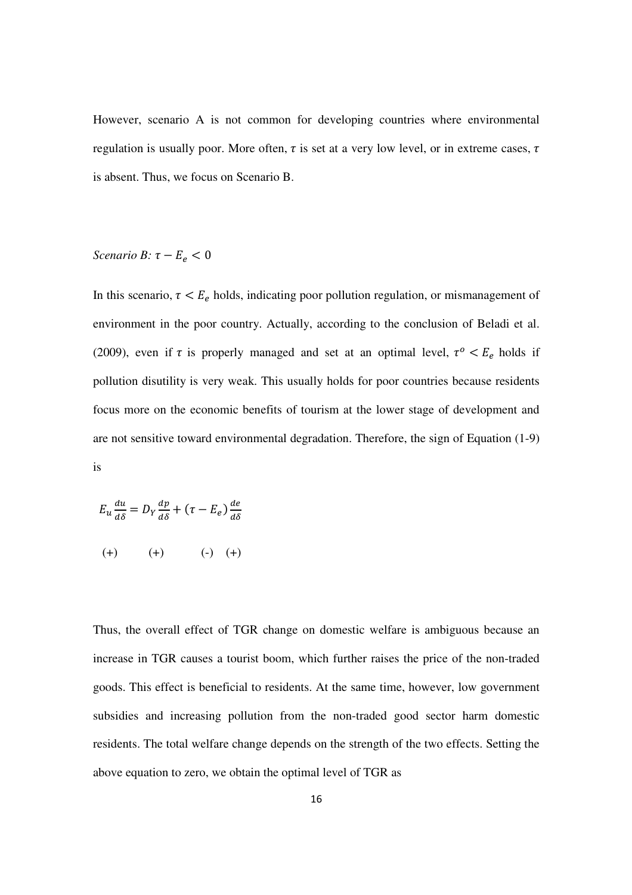However, scenario A is not common for developing countries where environmental regulation is usually poor. More often,  $\tau$  is set at a very low level, or in extreme cases,  $\tau$ is absent. Thus, we focus on Scenario B.

# *Scenario B:*  $\tau - E_e < 0$

In this scenario,  $\tau < E_e$  holds, indicating poor pollution regulation, or mismanagement of environment in the poor country. Actually, according to the conclusion of Beladi et al. (2009), even if  $\tau$  is properly managed and set at an optimal level,  $\tau^o < E_e$  holds if pollution disutility is very weak. This usually holds for poor countries because residents focus more on the economic benefits of tourism at the lower stage of development and are not sensitive toward environmental degradation. Therefore, the sign of Equation (1-9) is

$$
E_u \frac{du}{d\delta} = D_Y \frac{dp}{d\delta} + (\tau - E_e) \frac{de}{d\delta}
$$
  
(+) (+) (+) (-) (+)

Thus, the overall effect of TGR change on domestic welfare is ambiguous because an increase in TGR causes a tourist boom, which further raises the price of the non-traded goods. This effect is beneficial to residents. At the same time, however, low government subsidies and increasing pollution from the non-traded good sector harm domestic residents. The total welfare change depends on the strength of the two effects. Setting the above equation to zero, we obtain the optimal level of TGR as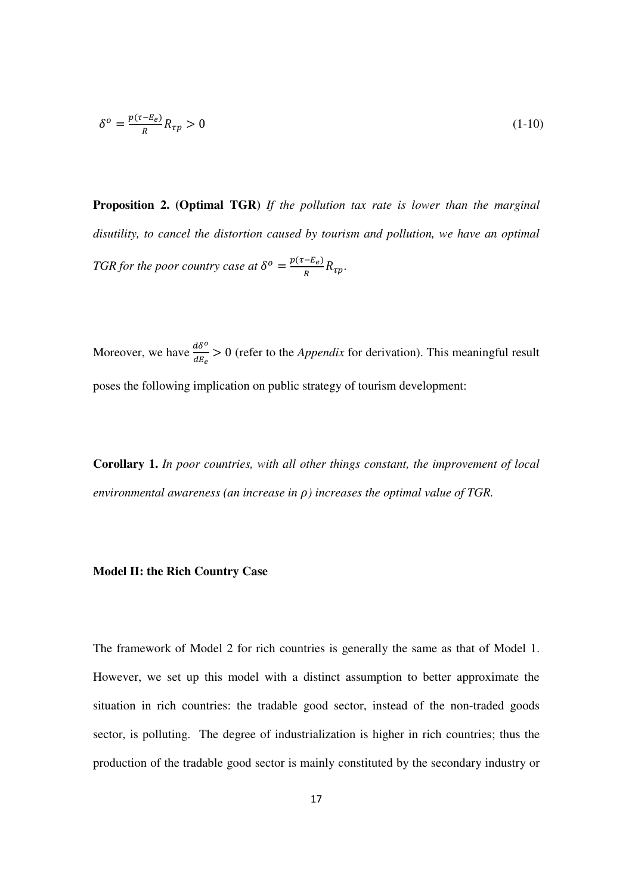$$
\delta^o = \frac{p(\tau - E_e)}{R} R_{\tau p} > 0 \tag{1-10}
$$

**Proposition 2. (Optimal TGR)** *If the pollution tax rate is lower than the marginal disutility, to cancel the distortion caused by tourism and pollution, we have an optimal TGR* for the poor country case at  $\delta^o = \frac{p(\tau - E_e)}{R}$  $\frac{-L_e}{R}R_{\tau p}$ .

Moreover, we have  $\frac{d\delta^o}{dE_e} > 0$  (refer to the *Appendix* for derivation). This meaningful result poses the following implication on public strategy of tourism development:

**Corollary 1.** *In poor countries, with all other things constant, the improvement of local environmental awareness (an increase in*  $\rho$ *) increases the optimal value of TGR.* 

#### **Model II: the Rich Country Case**

The framework of Model 2 for rich countries is generally the same as that of Model 1. However, we set up this model with a distinct assumption to better approximate the situation in rich countries: the tradable good sector, instead of the non-traded goods sector, is polluting. The degree of industrialization is higher in rich countries; thus the production of the tradable good sector is mainly constituted by the secondary industry or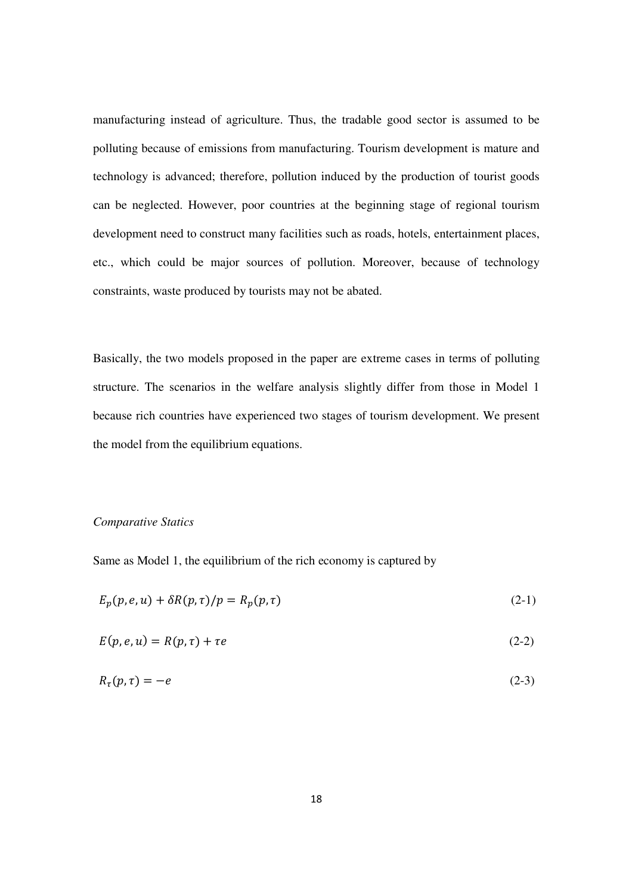manufacturing instead of agriculture. Thus, the tradable good sector is assumed to be polluting because of emissions from manufacturing. Tourism development is mature and technology is advanced; therefore, pollution induced by the production of tourist goods can be neglected. However, poor countries at the beginning stage of regional tourism development need to construct many facilities such as roads, hotels, entertainment places, etc., which could be major sources of pollution. Moreover, because of technology constraints, waste produced by tourists may not be abated.

Basically, the two models proposed in the paper are extreme cases in terms of polluting structure. The scenarios in the welfare analysis slightly differ from those in Model 1 because rich countries have experienced two stages of tourism development. We present the model from the equilibrium equations.

#### *Comparative Statics*

Same as Model 1, the equilibrium of the rich economy is captured by

$$
E_p(p, e, u) + \delta R(p, \tau) / p = R_p(p, \tau)
$$
\n<sup>(2-1)</sup>

$$
E(p, e, u) = R(p, \tau) + \tau e \tag{2-2}
$$

$$
R_{\tau}(p,\tau) = -e \tag{2-3}
$$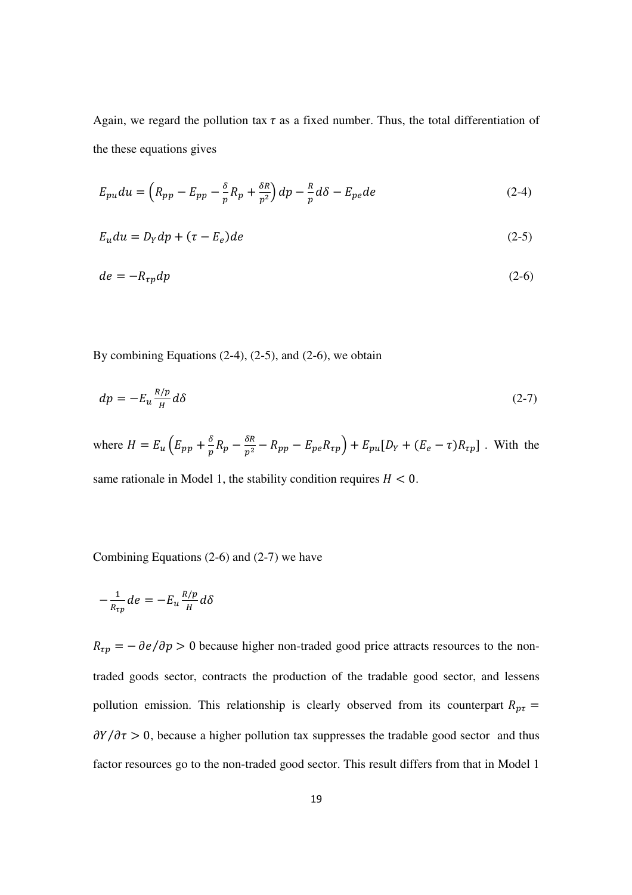Again, we regard the pollution tax  $\tau$  as a fixed number. Thus, the total differentiation of the these equations gives

$$
E_{pu}du = \left(R_{pp} - E_{pp} - \frac{\delta}{p}R_p + \frac{\delta R}{p^2}\right)dp - \frac{R}{p}d\delta - E_{pe}de\tag{2-4}
$$

$$
E_u du = D_Y dp + (\tau - E_e) de \tag{2-5}
$$

$$
de = -R_{tp}dp \tag{2-6}
$$

By combining Equations  $(2-4)$ ,  $(2-5)$ , and  $(2-6)$ , we obtain

$$
dp = -E_u \frac{R/p}{H} d\delta \tag{2-7}
$$

where  $H = E_u (E_{pp} + \frac{\delta}{n})$  $\frac{\delta}{p}R_p - \frac{\delta R}{p^2} - R_{pp} - E_{pe}R_{\tau p}\right) + E_{pu}[D_Y + (E_e - \tau)R_{\tau p}]$ . With the same rationale in Model 1, the stability condition requires  $H < 0$ .

Combining Equations (2-6) and (2-7) we have

$$
-\frac{1}{R_{\tau p}}de = -E_u \frac{R/p}{H} d\delta
$$

 $R_{\tau p} = -\frac{\partial e}{\partial p} > 0$  because higher non-traded good price attracts resources to the nontraded goods sector, contracts the production of the tradable good sector, and lessens pollution emission. This relationship is clearly observed from its counterpart  $R_{p\tau}$  =  $\partial Y / \partial \tau > 0$ , because a higher pollution tax suppresses the tradable good sector and thus factor resources go to the non-traded good sector. This result differs from that in Model 1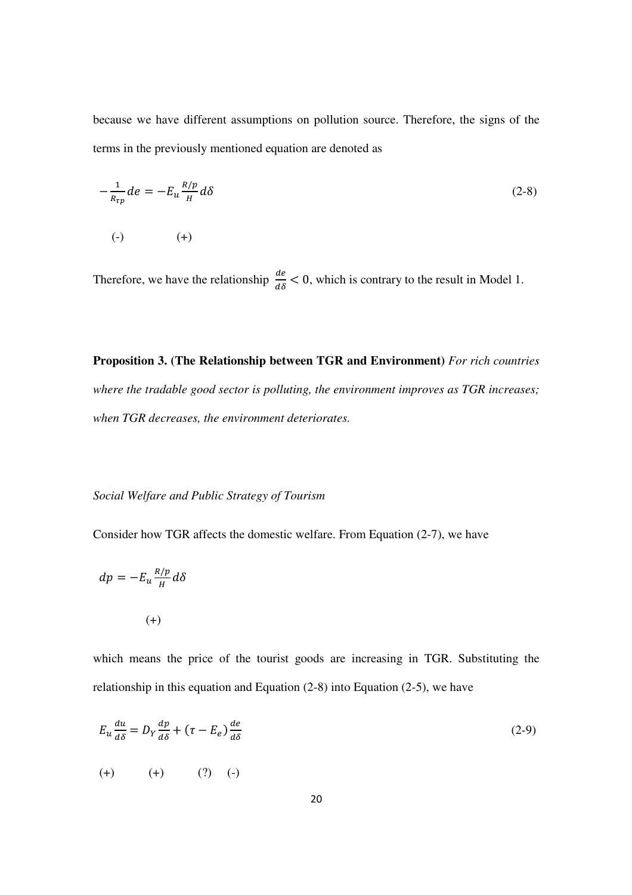because we have different assumptions on pollution source. Therefore, the signs of the terms in the previously mentioned equation are denoted as

$$
-\frac{1}{R_{\tau p}}de = -E_u \frac{R/p}{H} d\delta
$$
\n
$$
(-)\qquad \qquad (+)
$$
\n(2-8)

Therefore, we have the relationship  $\frac{de}{d\delta} < 0$ , which is contrary to the result in Model 1.

**Proposition 3. (The Relationship between TGR and Environment)** *For rich countries where the tradable good sector is polluting, the environment improves as TGR increases; when TGR decreases, the environment deteriorates.* 

# *Social Welfare and Public Strategy of Tourism*

Consider how TGR affects the domestic welfare. From Equation (2-7), we have

$$
dp = -E_u \frac{R/p}{H} d\delta
$$

(+)

which means the price of the tourist goods are increasing in TGR. Substituting the relationship in this equation and Equation (2-8) into Equation (2-5), we have

$$
E_u \frac{du}{d\delta} = D_Y \frac{dp}{d\delta} + (\tau - E_e) \frac{de}{d\delta}
$$
\n
$$
(2-9)
$$

$$
(+) \qquad (+) \qquad (?) \quad (-)
$$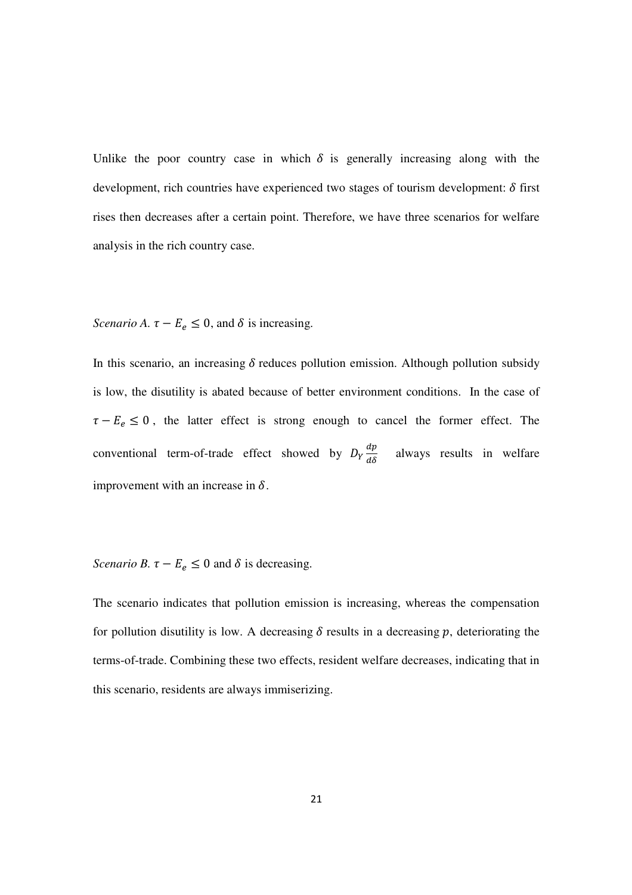Unlike the poor country case in which  $\delta$  is generally increasing along with the development, rich countries have experienced two stages of tourism development:  $\delta$  first rises then decreases after a certain point. Therefore, we have three scenarios for welfare analysis in the rich country case.

*Scenario A.*  $\tau - E_e \leq 0$ , and  $\delta$  is increasing.

In this scenario, an increasing  $\delta$  reduces pollution emission. Although pollution subsidy is low, the disutility is abated because of better environment conditions. In the case of  $\tau - E_e \leq 0$ , the latter effect is strong enough to cancel the former effect. The conventional term-of-trade effect showed by  $D_Y \frac{dp}{d\delta}$  always results in welfare improvement with an increase in  $\delta$ .

*Scenario B.*  $\tau - E_e \leq 0$  and  $\delta$  is decreasing.

The scenario indicates that pollution emission is increasing, whereas the compensation for pollution disutility is low. A decreasing  $\delta$  results in a decreasing p, deteriorating the terms-of-trade. Combining these two effects, resident welfare decreases, indicating that in this scenario, residents are always immiserizing.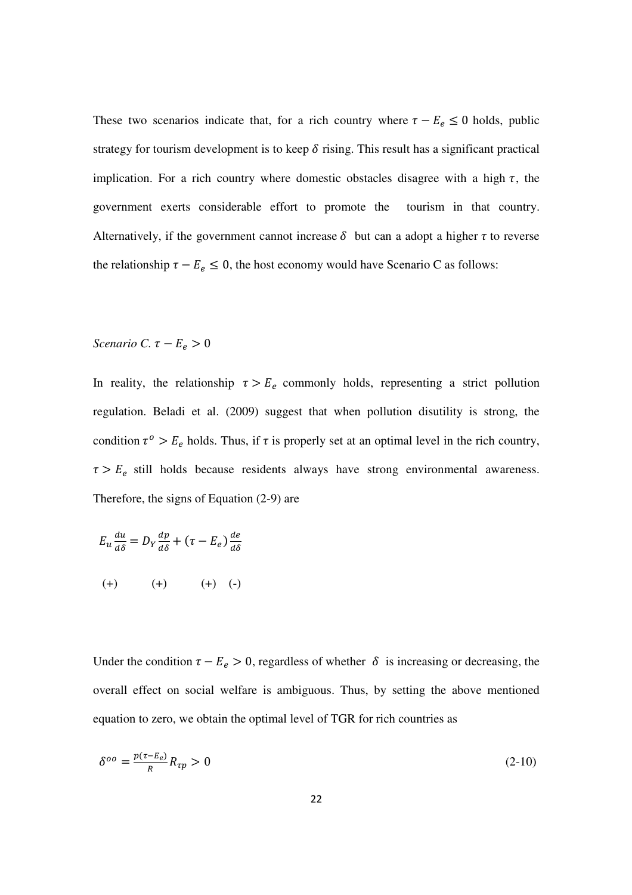These two scenarios indicate that, for a rich country where  $\tau - E_e \le 0$  holds, public strategy for tourism development is to keep  $\delta$  rising. This result has a significant practical implication. For a rich country where domestic obstacles disagree with a high  $\tau$ , the government exerts considerable effort to promote the tourism in that country. Alternatively, if the government cannot increase  $\delta$  but can a adopt a higher  $\tau$  to reverse the relationship  $\tau - E_e \leq 0$ , the host economy would have Scenario C as follows:

### *Scenario C.*  $\tau - E_e > 0$

In reality, the relationship  $\tau > E_e$  commonly holds, representing a strict pollution regulation. Beladi et al. (2009) suggest that when pollution disutility is strong, the condition  $\tau^o > E_e$  holds. Thus, if  $\tau$  is properly set at an optimal level in the rich country,  $\tau > E_e$  still holds because residents always have strong environmental awareness. Therefore, the signs of Equation (2-9) are

$$
E_u \frac{du}{d\delta} = D_Y \frac{dp}{d\delta} + (\tau - E_e) \frac{de}{d\delta}
$$
  
(+) 
$$
(+) \qquad (+) \qquad (+) \qquad (-)
$$

Under the condition  $\tau - E_e > 0$ , regardless of whether  $\delta$  is increasing or decreasing, the overall effect on social welfare is ambiguous. Thus, by setting the above mentioned equation to zero, we obtain the optimal level of TGR for rich countries as

$$
\delta^{oo} = \frac{p(\tau - E_e)}{R} R_{\tau p} > 0 \tag{2-10}
$$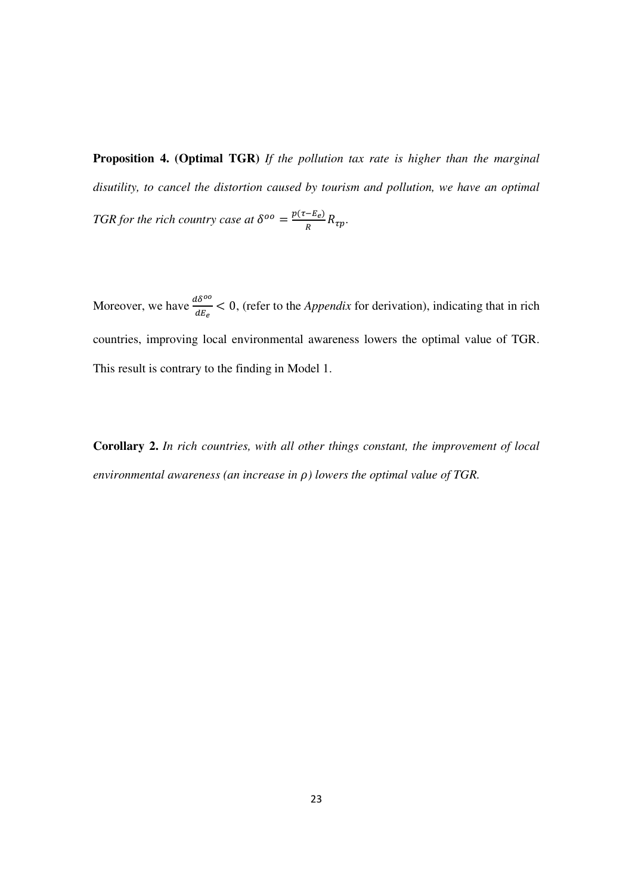**Proposition 4. (Optimal TGR)** *If the pollution tax rate is higher than the marginal disutility, to cancel the distortion caused by tourism and pollution, we have an optimal TGR for the rich country case at*  $\delta^{oo} = \frac{p(\tau - E_e)}{R}$  $\frac{-L_{e}}{R}R_{\tau p}$ .

Moreover, we have  $\frac{d\delta^{oo}}{dE_e} < 0$ , (refer to the *Appendix* for derivation), indicating that in rich countries, improving local environmental awareness lowers the optimal value of TGR. This result is contrary to the finding in Model 1.

**Corollary 2.** *In rich countries, with all other things constant, the improvement of local environmental awareness (an increase in*  $\rho$ *) lowers the optimal value of TGR.*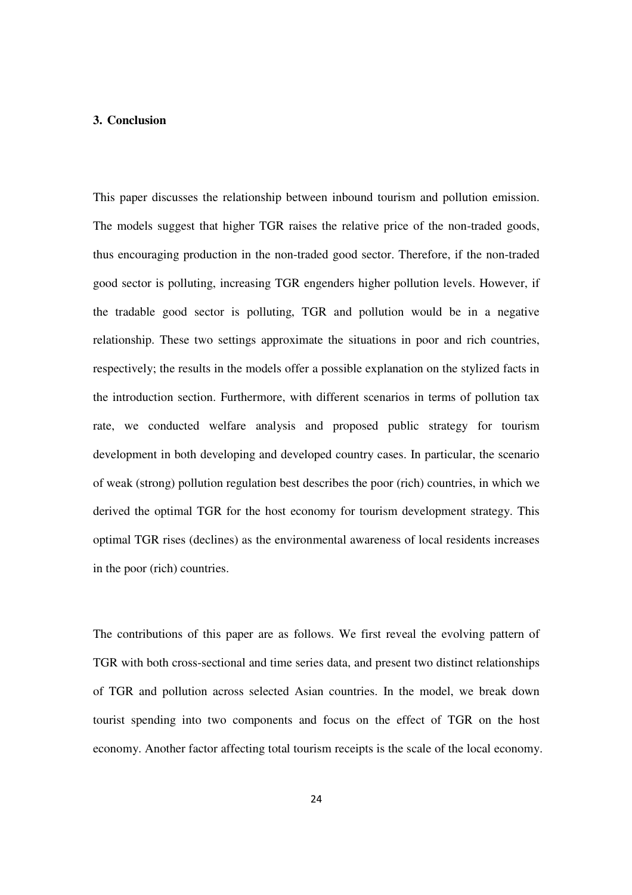### **3. Conclusion**

This paper discusses the relationship between inbound tourism and pollution emission. The models suggest that higher TGR raises the relative price of the non-traded goods, thus encouraging production in the non-traded good sector. Therefore, if the non-traded good sector is polluting, increasing TGR engenders higher pollution levels. However, if the tradable good sector is polluting, TGR and pollution would be in a negative relationship. These two settings approximate the situations in poor and rich countries, respectively; the results in the models offer a possible explanation on the stylized facts in the introduction section. Furthermore, with different scenarios in terms of pollution tax rate, we conducted welfare analysis and proposed public strategy for tourism development in both developing and developed country cases. In particular, the scenario of weak (strong) pollution regulation best describes the poor (rich) countries, in which we derived the optimal TGR for the host economy for tourism development strategy. This optimal TGR rises (declines) as the environmental awareness of local residents increases in the poor (rich) countries.

The contributions of this paper are as follows. We first reveal the evolving pattern of TGR with both cross-sectional and time series data, and present two distinct relationships of TGR and pollution across selected Asian countries. In the model, we break down tourist spending into two components and focus on the effect of TGR on the host economy. Another factor affecting total tourism receipts is the scale of the local economy.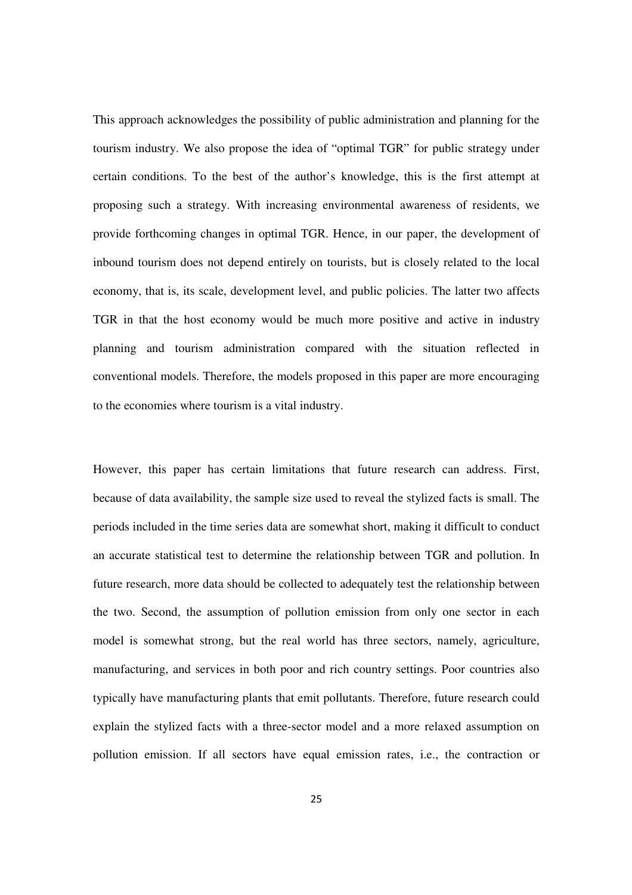This approach acknowledges the possibility of public administration and planning for the tourism industry. We also propose the idea of "optimal TGR" for public strategy under certain conditions. To the best of the author's knowledge, this is the first attempt at proposing such a strategy. With increasing environmental awareness of residents, we provide forthcoming changes in optimal TGR. Hence, in our paper, the development of inbound tourism does not depend entirely on tourists, but is closely related to the local economy, that is, its scale, development level, and public policies. The latter two affects TGR in that the host economy would be much more positive and active in industry planning and tourism administration compared with the situation reflected in conventional models. Therefore, the models proposed in this paper are more encouraging to the economies where tourism is a vital industry.

However, this paper has certain limitations that future research can address. First, because of data availability, the sample size used to reveal the stylized facts is small. The periods included in the time series data are somewhat short, making it difficult to conduct an accurate statistical test to determine the relationship between TGR and pollution. In future research, more data should be collected to adequately test the relationship between the two. Second, the assumption of pollution emission from only one sector in each model is somewhat strong, but the real world has three sectors, namely, agriculture, manufacturing, and services in both poor and rich country settings. Poor countries also typically have manufacturing plants that emit pollutants. Therefore, future research could explain the stylized facts with a three-sector model and a more relaxed assumption on pollution emission. If all sectors have equal emission rates, i.e., the contraction or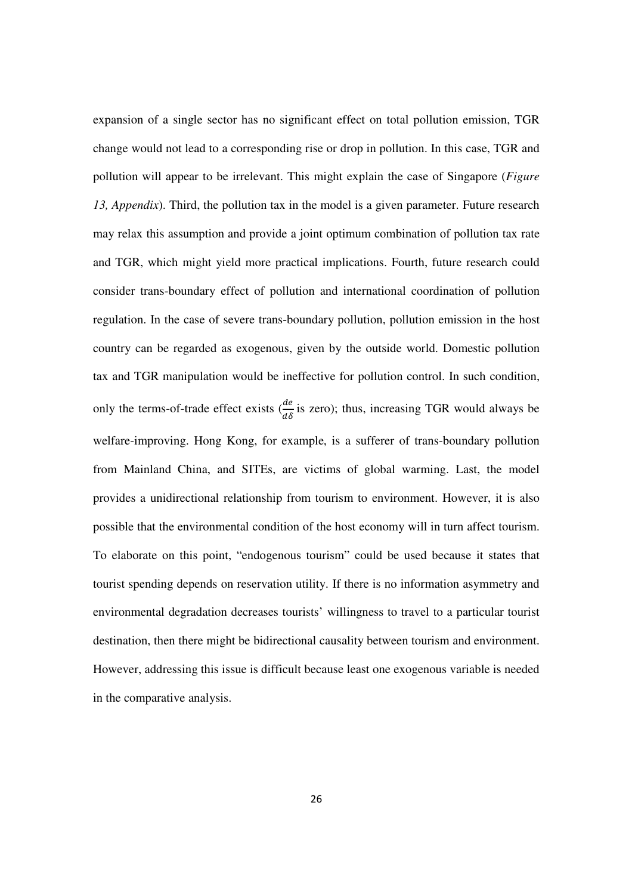expansion of a single sector has no significant effect on total pollution emission, TGR change would not lead to a corresponding rise or drop in pollution. In this case, TGR and pollution will appear to be irrelevant. This might explain the case of Singapore (*Figure 13, Appendix*). Third, the pollution tax in the model is a given parameter. Future research may relax this assumption and provide a joint optimum combination of pollution tax rate and TGR, which might yield more practical implications. Fourth, future research could consider trans-boundary effect of pollution and international coordination of pollution regulation. In the case of severe trans-boundary pollution, pollution emission in the host country can be regarded as exogenous, given by the outside world. Domestic pollution tax and TGR manipulation would be ineffective for pollution control. In such condition, only the terms-of-trade effect exists  $(\frac{de}{d\delta})$  is zero); thus, increasing TGR would always be welfare-improving. Hong Kong, for example, is a sufferer of trans-boundary pollution from Mainland China, and SITEs, are victims of global warming. Last, the model provides a unidirectional relationship from tourism to environment. However, it is also possible that the environmental condition of the host economy will in turn affect tourism. To elaborate on this point, "endogenous tourism" could be used because it states that tourist spending depends on reservation utility. If there is no information asymmetry and environmental degradation decreases tourists' willingness to travel to a particular tourist destination, then there might be bidirectional causality between tourism and environment. However, addressing this issue is difficult because least one exogenous variable is needed in the comparative analysis.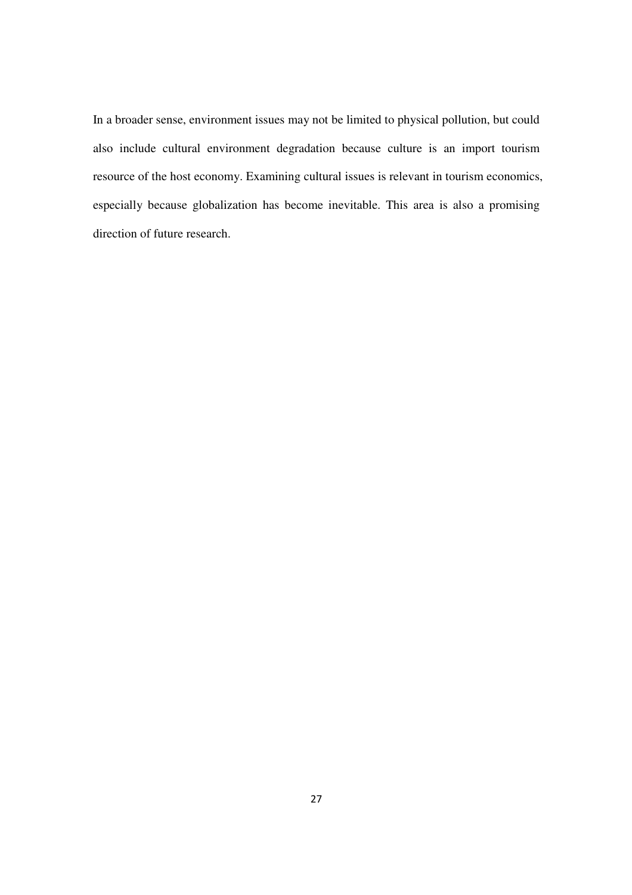In a broader sense, environment issues may not be limited to physical pollution, but could also include cultural environment degradation because culture is an import tourism resource of the host economy. Examining cultural issues is relevant in tourism economics, especially because globalization has become inevitable. This area is also a promising direction of future research.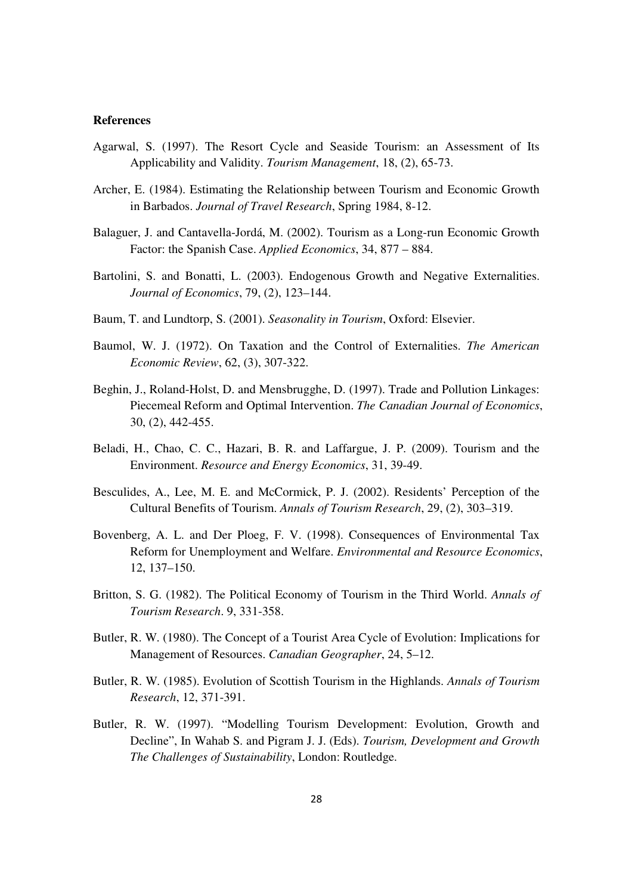#### **References**

- Agarwal, S. (1997). The Resort Cycle and Seaside Tourism: an Assessment of Its Applicability and Validity. *Tourism Management*, 18, (2), 65-73.
- Archer, E. (1984). Estimating the Relationship between Tourism and Economic Growth in Barbados. *Journal of Travel Research*, Spring 1984, 8-12.
- Balaguer, J. and Cantavella-Jordá, M. (2002). Tourism as a Long-run Economic Growth Factor: the Spanish Case. *Applied Economics*, 34, 877 – 884.
- Bartolini, S. and Bonatti, L. (2003). Endogenous Growth and Negative Externalities. *Journal of Economics*, 79, (2), 123–144.
- Baum, T. and Lundtorp, S. (2001). *Seasonality in Tourism*, Oxford: Elsevier.
- Baumol, W. J. (1972). On Taxation and the Control of Externalities. *The American Economic Review*, 62, (3), 307-322.
- Beghin, J., Roland-Holst, D. and Mensbrugghe, D. (1997). Trade and Pollution Linkages: Piecemeal Reform and Optimal Intervention. *The Canadian Journal of Economics*, 30, (2), 442-455.
- Beladi, H., Chao, C. C., Hazari, B. R. and Laffargue, J. P. (2009). Tourism and the Environment. *Resource and Energy Economics*, 31, 39-49.
- Besculides, A., Lee, M. E. and McCormick, P. J. (2002). Residents' Perception of the Cultural Benefits of Tourism. *Annals of Tourism Research*, 29, (2), 303–319.
- Bovenberg, A. L. and Der Ploeg, F. V. (1998). Consequences of Environmental Tax Reform for Unemployment and Welfare. *Environmental and Resource Economics*, 12, 137–150.
- Britton, S. G. (1982). The Political Economy of Tourism in the Third World. *Annals of Tourism Research*. 9, 331-358.
- Butler, R. W. (1980). The Concept of a Tourist Area Cycle of Evolution: Implications for Management of Resources. *Canadian Geographer*, 24, 5–12.
- Butler, R. W. (1985). Evolution of Scottish Tourism in the Highlands. *Annals of Tourism Research*, 12, 371-391.
- Butler, R. W. (1997). "Modelling Tourism Development: Evolution, Growth and Decline", In Wahab S. and Pigram J. J. (Eds). *Tourism, Development and Growth The Challenges of Sustainability*, London: Routledge.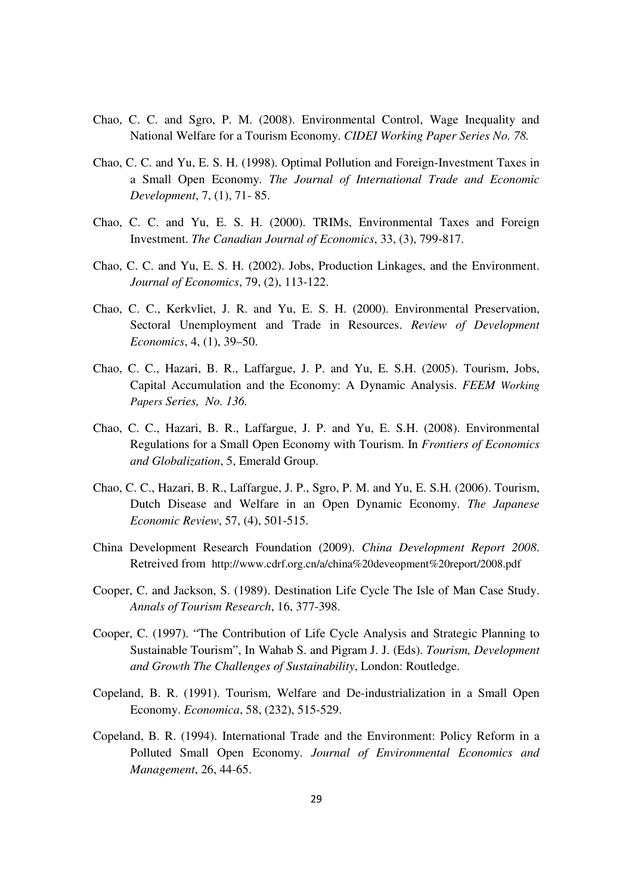- Chao, C. C. and Sgro, P. M. (2008). Environmental Control, Wage Inequality and National Welfare for a Tourism Economy. *CIDEI Working Paper Series No. 78.*
- Chao, C. C. and Yu, E. S. H. (1998). Optimal Pollution and Foreign-Investment Taxes in a Small Open Economy. *The Journal of International Trade and Economic Development*, 7, (1), 71- 85.
- Chao, C. C. and Yu, E. S. H. (2000). TRIMs, Environmental Taxes and Foreign Investment. *The Canadian Journal of Economics*, 33, (3), 799-817.
- Chao, C. C. and Yu, E. S. H. (2002). Jobs, Production Linkages, and the Environment. *Journal of Economics*, 79, (2), 113-122.
- Chao, C. C., Kerkvliet, J. R. and Yu, E. S. H. (2000). Environmental Preservation, Sectoral Unemployment and Trade in Resources. *Review of Development Economics*, 4, (1), 39–50.
- Chao, C. C., Hazari, B. R., Laffargue, J. P. and Yu, E. S.H. (2005). Tourism, Jobs, Capital Accumulation and the Economy: A Dynamic Analysis. *FEEM Working Papers Series, No. 136.*
- Chao, C. C., Hazari, B. R., Laffargue, J. P. and Yu, E. S.H. (2008). Environmental Regulations for a Small Open Economy with Tourism. In *Frontiers of Economics and Globalization*, 5, Emerald Group.
- Chao, C. C., Hazari, B. R., Laffargue, J. P., Sgro, P. M. and Yu, E. S.H. (2006). Tourism, Dutch Disease and Welfare in an Open Dynamic Economy. *The Japanese Economic Review*, 57, (4), 501-515.
- China Development Research Foundation (2009). *China Development Report 2008*. Retreived from http://www.cdrf.org.cn/a/china%20deveopment%20report/2008.pdf
- Cooper, C. and Jackson, S. (1989). Destination Life Cycle The Isle of Man Case Study. *Annals of Tourism Research*, 16, 377-398.
- Cooper, C. (1997). "The Contribution of Life Cycle Analysis and Strategic Planning to Sustainable Tourism", In Wahab S. and Pigram J. J. (Eds). *Tourism, Development and Growth The Challenges of Sustainability*, London: Routledge.
- Copeland, B. R. (1991). Tourism, Welfare and De-industrialization in a Small Open Economy. *Economica*, 58, (232), 515-529.
- Copeland, B. R. (1994). International Trade and the Environment: Policy Reform in a Polluted Small Open Economy. *Journal of Environmental Economics and Management*, 26, 44-65.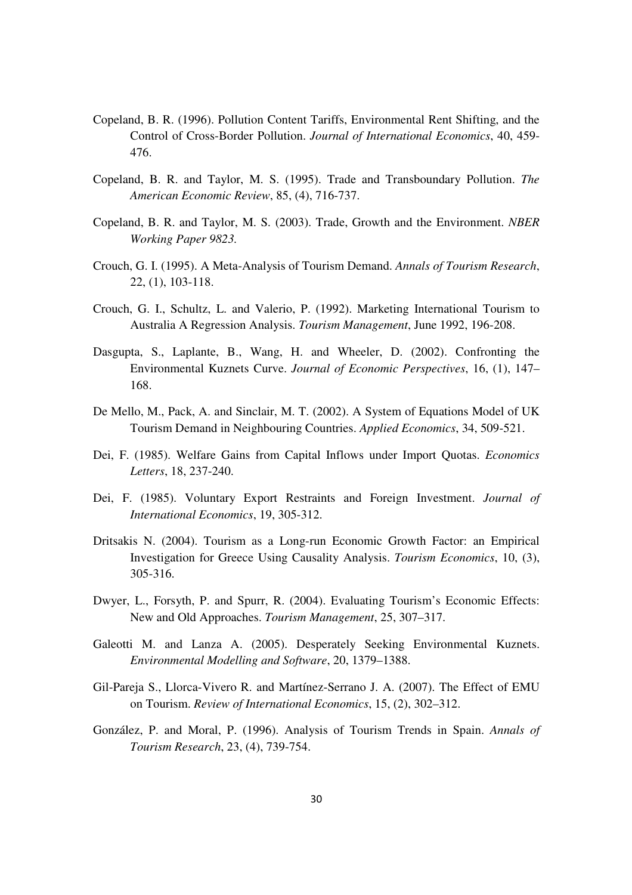- Copeland, B. R. (1996). Pollution Content Tariffs, Environmental Rent Shifting, and the Control of Cross-Border Pollution. *Journal of International Economics*, 40, 459- 476.
- Copeland, B. R. and Taylor, M. S. (1995). Trade and Transboundary Pollution. *The American Economic Review*, 85, (4), 716-737.
- Copeland, B. R. and Taylor, M. S. (2003). Trade, Growth and the Environment. *NBER Working Paper 9823.*
- Crouch, G. I. (1995). A Meta-Analysis of Tourism Demand. *Annals of Tourism Research*, 22, (1), 103-118.
- Crouch, G. I., Schultz, L. and Valerio, P. (1992). Marketing International Tourism to Australia A Regression Analysis. *Tourism Management*, June 1992, 196-208.
- Dasgupta, S., Laplante, B., Wang, H. and Wheeler, D. (2002). Confronting the Environmental Kuznets Curve. *Journal of Economic Perspectives*, 16, (1), 147– 168.
- De Mello, M., Pack, A. and Sinclair, M. T. (2002). A System of Equations Model of UK Tourism Demand in Neighbouring Countries. *Applied Economics*, 34, 509-521.
- Dei, F. (1985). Welfare Gains from Capital Inflows under Import Quotas. *Economics Letters*, 18, 237-240.
- Dei, F. (1985). Voluntary Export Restraints and Foreign Investment. *Journal of International Economics*, 19, 305-312.
- Dritsakis N. (2004). Tourism as a Long-run Economic Growth Factor: an Empirical Investigation for Greece Using Causality Analysis. *Tourism Economics*, 10, (3), 305-316.
- Dwyer, L., Forsyth, P. and Spurr, R. (2004). Evaluating Tourism's Economic Effects: New and Old Approaches. *Tourism Management*, 25, 307–317.
- Galeotti M. and Lanza A. (2005). Desperately Seeking Environmental Kuznets. *Environmental Modelling and Software*, 20, 1379–1388.
- Gil-Pareja S., Llorca-Vivero R. and Martínez-Serrano J. A. (2007). The Effect of EMU on Tourism. *Review of International Economics*, 15, (2), 302–312.
- González, P. and Moral, P. (1996). Analysis of Tourism Trends in Spain. *Annals of Tourism Research*, 23, (4), 739-754.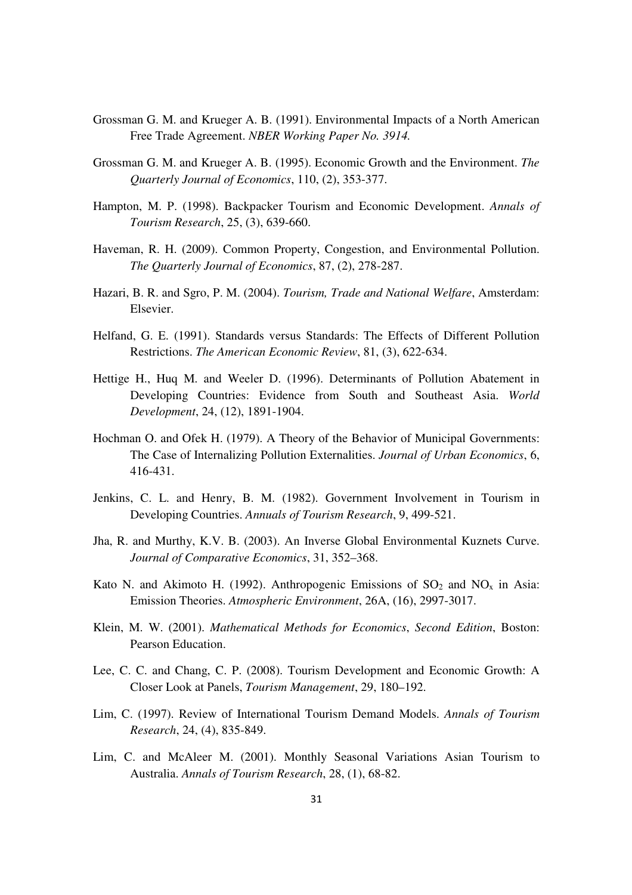- Grossman G. M. and Krueger A. B. (1991). Environmental Impacts of a North American Free Trade Agreement. *NBER Working Paper No. 3914.*
- Grossman G. M. and Krueger A. B. (1995). Economic Growth and the Environment. *The Quarterly Journal of Economics*, 110, (2), 353-377.
- Hampton, M. P. (1998). Backpacker Tourism and Economic Development. *Annals of Tourism Research*, 25, (3), 639-660.
- Haveman, R. H. (2009). Common Property, Congestion, and Environmental Pollution. *The Quarterly Journal of Economics*, 87, (2), 278-287.
- Hazari, B. R. and Sgro, P. M. (2004). *Tourism, Trade and National Welfare*, Amsterdam: Elsevier.
- Helfand, G. E. (1991). Standards versus Standards: The Effects of Different Pollution Restrictions. *The American Economic Review*, 81, (3), 622-634.
- Hettige H., Huq M. and Weeler D. (1996). Determinants of Pollution Abatement in Developing Countries: Evidence from South and Southeast Asia. *World Development*, 24, (12), 1891-1904.
- Hochman O. and Ofek H. (1979). A Theory of the Behavior of Municipal Governments: The Case of Internalizing Pollution Externalities. *Journal of Urban Economics*, 6, 416-431.
- Jenkins, C. L. and Henry, B. M. (1982). Government Involvement in Tourism in Developing Countries. *Annuals of Tourism Research*, 9, 499-521.
- Jha, R. and Murthy, K.V. B. (2003). An Inverse Global Environmental Kuznets Curve. *Journal of Comparative Economics*, 31, 352–368.
- Kato N. and Akimoto H. (1992). Anthropogenic Emissions of  $SO_2$  and  $NO_x$  in Asia: Emission Theories. *Atmospheric Environment*, 26A, (16), 2997-3017.
- Klein, M. W. (2001). *Mathematical Methods for Economics*, *Second Edition*, Boston: Pearson Education.
- Lee, C. C. and Chang, C. P. (2008). Tourism Development and Economic Growth: A Closer Look at Panels, *Tourism Management*, 29, 180–192.
- Lim, C. (1997). Review of International Tourism Demand Models. *Annals of Tourism Research*, 24, (4), 835-849.
- Lim, C. and McAleer M. (2001). Monthly Seasonal Variations Asian Tourism to Australia. *Annals of Tourism Research*, 28, (1), 68-82.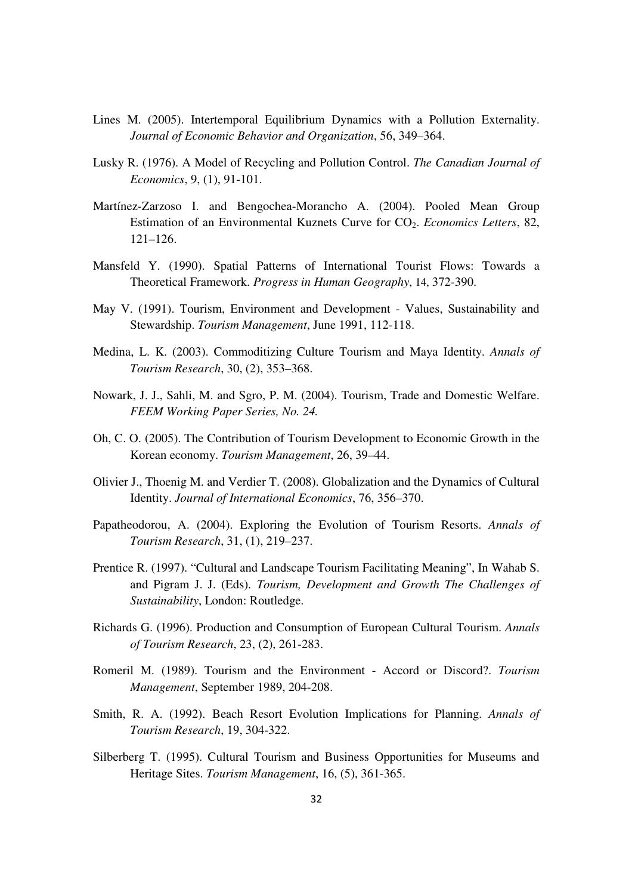- Lines M. (2005). Intertemporal Equilibrium Dynamics with a Pollution Externality. *Journal of Economic Behavior and Organization*, 56, 349–364.
- Lusky R. (1976). A Model of Recycling and Pollution Control. *The Canadian Journal of Economics*, 9, (1), 91-101.
- Martínez-Zarzoso I. and Bengochea-Morancho A. (2004). Pooled Mean Group Estimation of an Environmental Kuznets Curve for CO2. *Economics Letters*, 82, 121–126.
- Mansfeld Y. (1990). Spatial Patterns of International Tourist Flows: Towards a Theoretical Framework. *Progress in Human Geography*, 14, 372-390.
- May V. (1991). Tourism, Environment and Development Values, Sustainability and Stewardship. *Tourism Management*, June 1991, 112-118.
- Medina, L. K. (2003). Commoditizing Culture Tourism and Maya Identity. *Annals of Tourism Research*, 30, (2), 353–368.
- Nowark, J. J., Sahli, M. and Sgro, P. M. (2004). Tourism, Trade and Domestic Welfare. *FEEM Working Paper Series, No. 24.*
- Oh, C. O. (2005). The Contribution of Tourism Development to Economic Growth in the Korean economy. *Tourism Management*, 26, 39–44.
- Olivier J., Thoenig M. and Verdier T. (2008). Globalization and the Dynamics of Cultural Identity. *Journal of International Economics*, 76, 356–370.
- Papatheodorou, A. (2004). Exploring the Evolution of Tourism Resorts. *Annals of Tourism Research*, 31, (1), 219–237.
- Prentice R. (1997). "Cultural and Landscape Tourism Facilitating Meaning", In Wahab S. and Pigram J. J. (Eds). *Tourism, Development and Growth The Challenges of Sustainability*, London: Routledge.
- Richards G. (1996). Production and Consumption of European Cultural Tourism. *Annals of Tourism Research*, 23, (2), 261-283.
- Romeril M. (1989). Tourism and the Environment Accord or Discord?. *Tourism Management*, September 1989, 204-208.
- Smith, R. A. (1992). Beach Resort Evolution Implications for Planning. *Annals of Tourism Research*, 19, 304-322.
- Silberberg T. (1995). Cultural Tourism and Business Opportunities for Museums and Heritage Sites. *Tourism Management*, 16, (5), 361-365.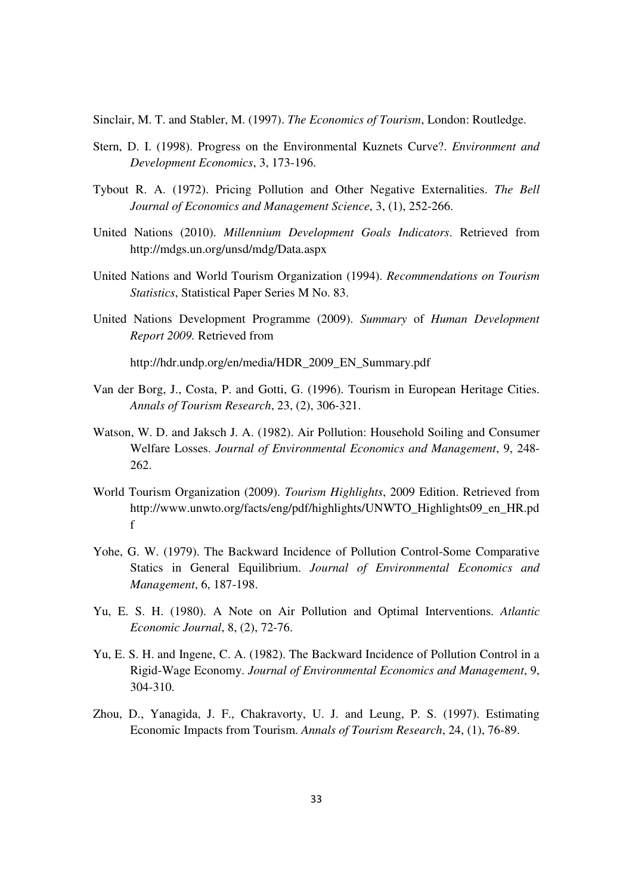Sinclair, M. T. and Stabler, M. (1997). *The Economics of Tourism*, London: Routledge.

- Stern, D. I. (1998). Progress on the Environmental Kuznets Curve?. *Environment and Development Economics*, 3, 173-196.
- Tybout R. A. (1972). Pricing Pollution and Other Negative Externalities. *The Bell Journal of Economics and Management Science*, 3, (1), 252-266.
- United Nations (2010). *Millennium Development Goals Indicators*. Retrieved from http://mdgs.un.org/unsd/mdg/Data.aspx
- United Nations and World Tourism Organization (1994). *Recommendations on Tourism Statistics*, Statistical Paper Series M No. 83.
- United Nations Development Programme (2009). *Summary* of *Human Development Report 2009.* Retrieved from

http://hdr.undp.org/en/media/HDR\_2009\_EN\_Summary.pdf

- Van der Borg, J., Costa, P. and Gotti, G. (1996). Tourism in European Heritage Cities. *Annals of Tourism Research*, 23, (2), 306-321.
- Watson, W. D. and Jaksch J. A. (1982). Air Pollution: Household Soiling and Consumer Welfare Losses. *Journal of Environmental Economics and Management*, 9, 248- 262.
- World Tourism Organization (2009). *Tourism Highlights*, 2009 Edition. Retrieved from http://www.unwto.org/facts/eng/pdf/highlights/UNWTO\_Highlights09\_en\_HR.pd f
- Yohe, G. W. (1979). The Backward Incidence of Pollution Control-Some Comparative Statics in General Equilibrium. *Journal of Environmental Economics and Management*, 6, 187-198.
- Yu, E. S. H. (1980). A Note on Air Pollution and Optimal Interventions. *Atlantic Economic Journal*, 8, (2), 72-76.
- Yu, E. S. H. and Ingene, C. A. (1982). The Backward Incidence of Pollution Control in a Rigid-Wage Economy. *Journal of Environmental Economics and Management*, 9, 304-310.
- Zhou, D., Yanagida, J. F., Chakravorty, U. J. and Leung, P. S. (1997). Estimating Economic Impacts from Tourism. *Annals of Tourism Research*, 24, (1), 76-89.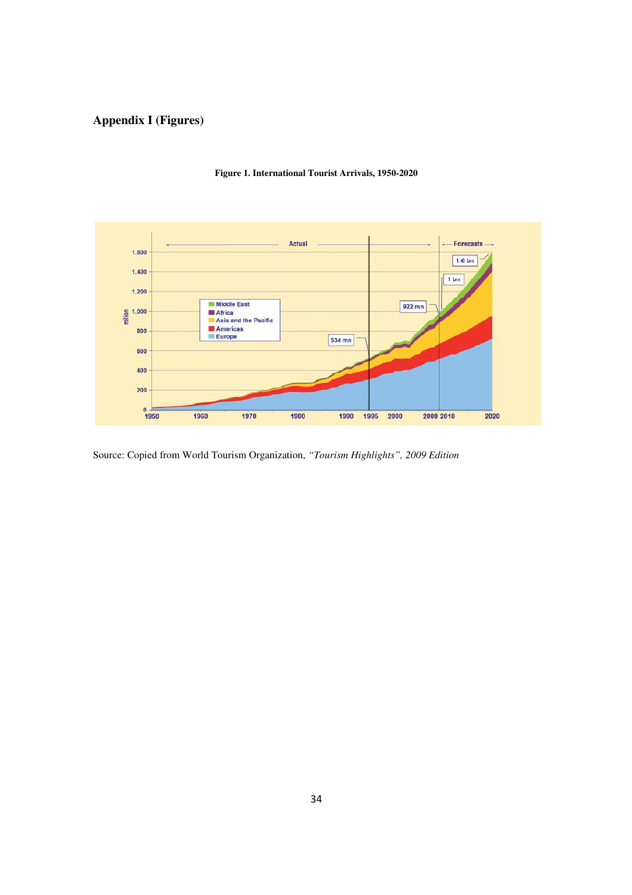# **Appendix I (Figures)**



#### **Figure 1. International Tourist Arrivals, 1950-2020**

Source: Copied from World Tourism Organization, *"Tourism Highlights", 2009 Edition*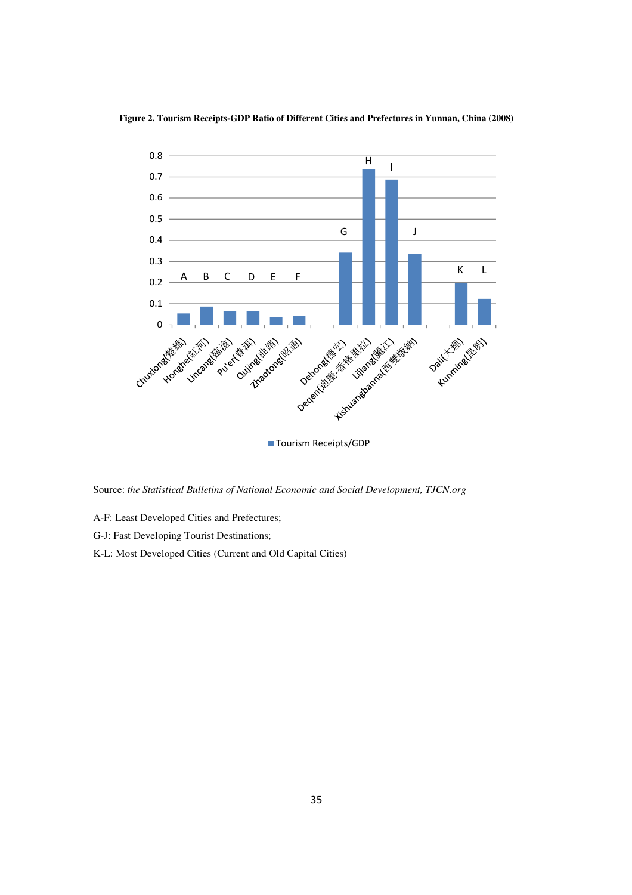



Source: *the Statistical Bulletins of National Economic and Social Development, TJCN.org*

- A-F: Least Developed Cities and Prefectures;
- G-J: Fast Developing Tourist Destinations;
- K-L: Most Developed Cities (Current and Old Capital Cities)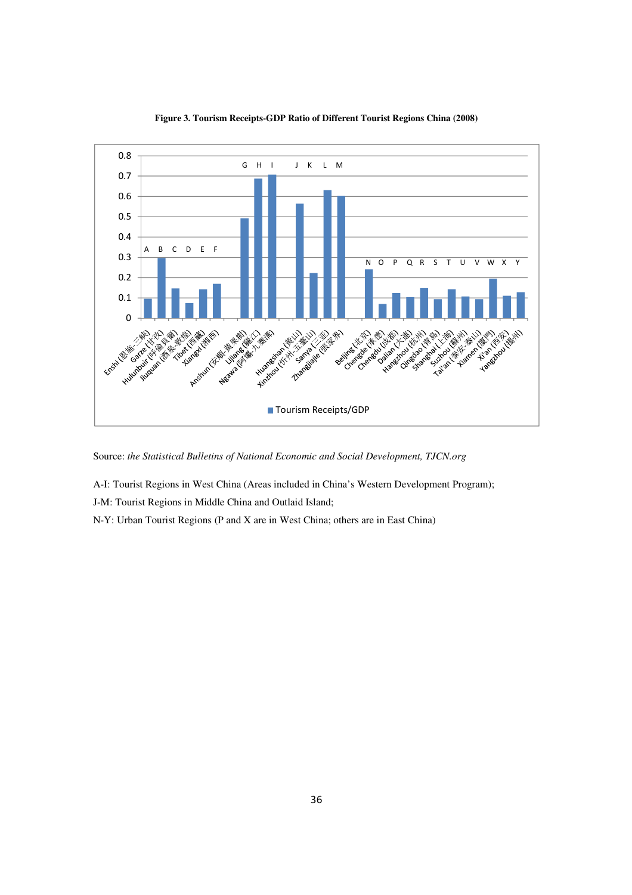

**Figure 3. Tourism Receipts-GDP Ratio of Different Tourist Regions China (2008)** 

Source: *the Statistical Bulletins of National Economic and Social Development, TJCN.org*

A-I: Tourist Regions in West China (Areas included in China's Western Development Program);

J-M: Tourist Regions in Middle China and Outlaid Island;

N-Y: Urban Tourist Regions (P and X are in West China; others are in East China)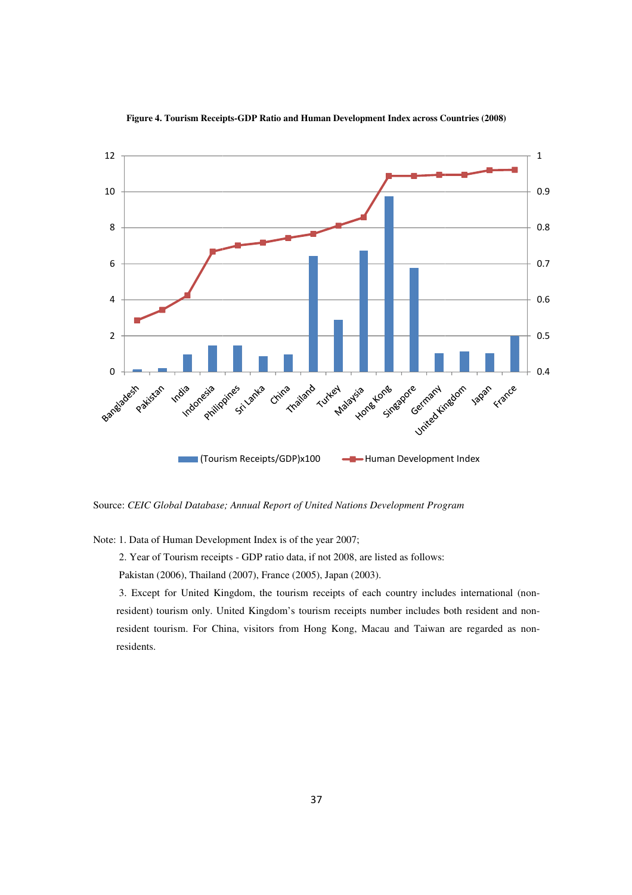

#### **Figure 4. Tourism Receipts-GDP Ratio and Human Development Index across Countries (2008)**

Source: CEIC Global Database; Annual Report of United Nations Development Program

Note: 1. Data of Human Development Index is of the year 2007;

2. Year of Tourism receipts - GDP ratio data, if not 2008, are listed as follows:

Pakistan (2006), Thailand (2007), France (2005), Japan (2003).

 3. Except for United Kingdom, the tourism receipts of each country includes international (non resident) tourism only. United Kingdom's tourism receipts number includes both resident and nonresident tourism. For China, visitors from Hong Kong, Macau and Taiwan are regarded as nonresidents. (2006), Thailand (2007), France (2005), Japan (2003).<br>t for United Kingdom, the tourism receipts of each country includes international (non<br>tourism only. United Kingdom's tourism receipts number includes both resident and Tourism Receipts/GDP)x100<br>
E-Human Development Index<br>
E: CEIC Global Database; Annual Report of United Nations Development Program<br>
1. Data of Human Development Index is of the year 2007;<br>
2. Year of Tourism receipts - GDP receipts of each country includes international (non-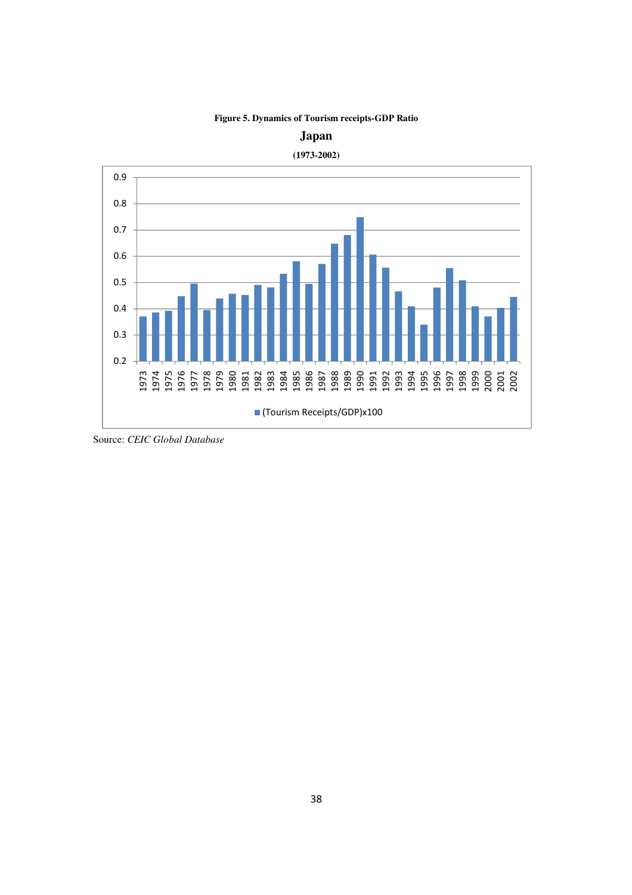







Source: *CEIC Global Database*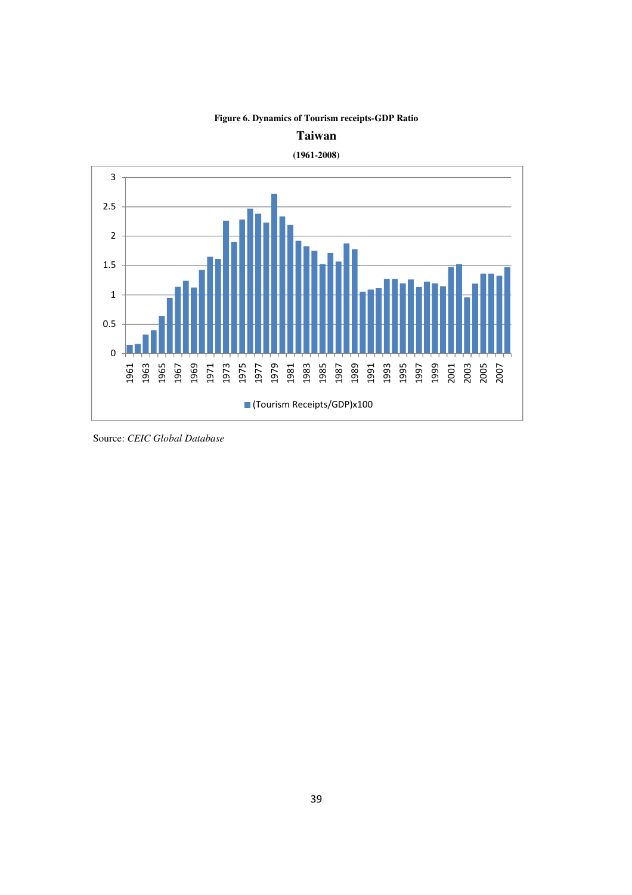

# **Figure 6. Dynamics of Tourism receipts-GDP Ratio**

Source: *CEIC Global Database*

**Taiwan**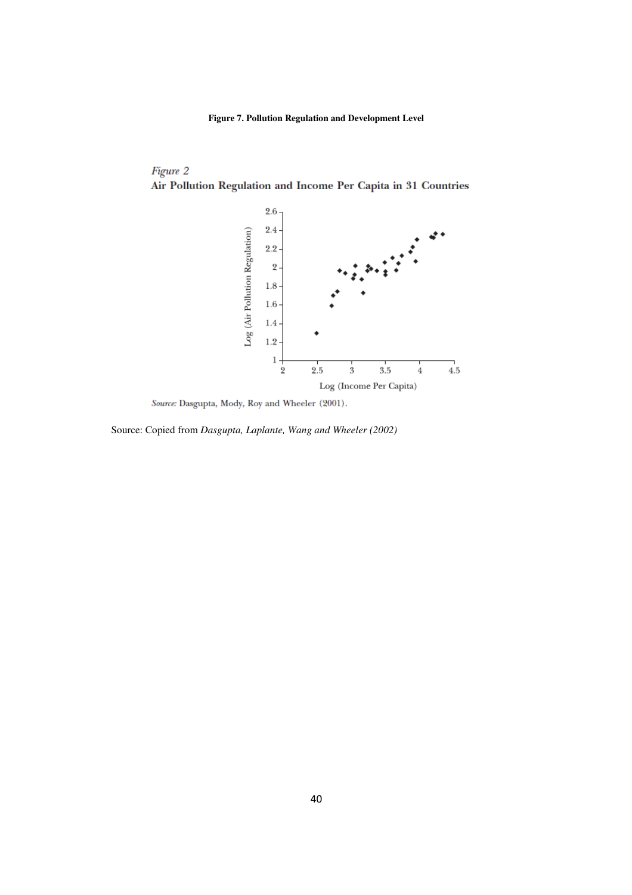**Figure 7. Pollution Regulation and Development Level** 

# Figure 2 Air Pollution Regulation and Income Per Capita in 31 Countries



Source: Dasgupta, Mody, Roy and Wheeler (2001).

Source: Copied from *Dasgupta, Laplante, Wang and Wheeler (2002)*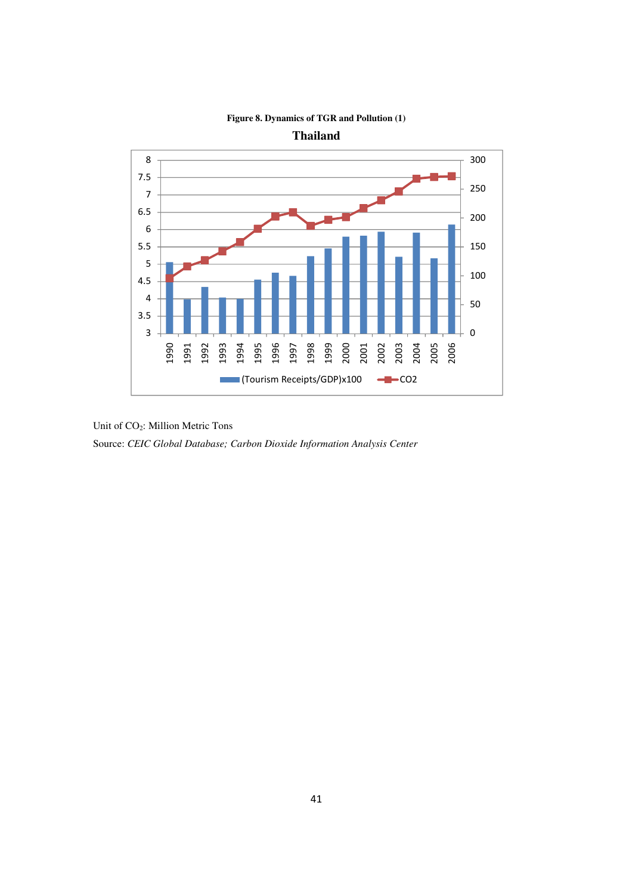

### **Figure 8. Dynamics of TGR and Pollution (1)**

Unit of CO<sub>2</sub>: Million Metric Tons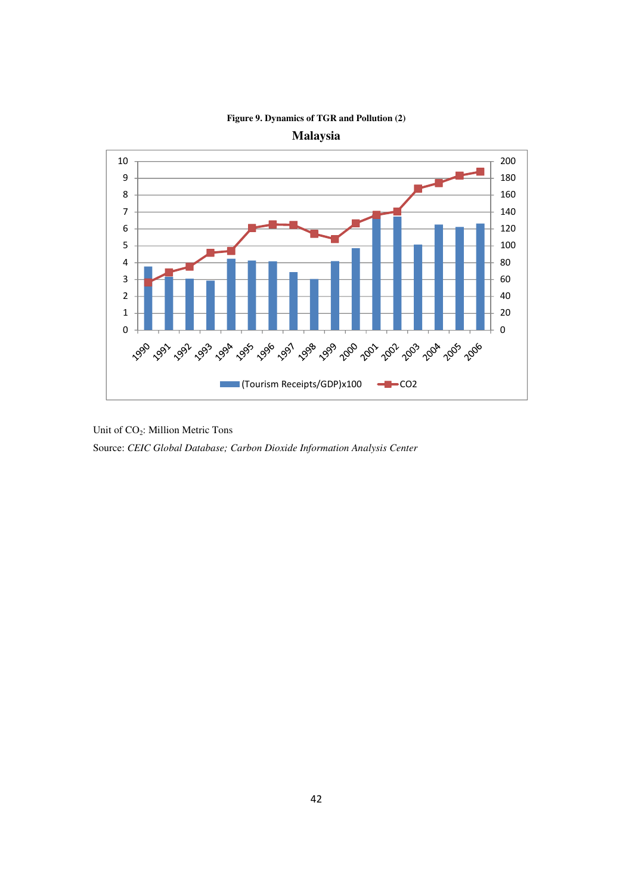

**Figure 9. Dynamics of TGR and Pollution (2)** 

**Malaysia** 

Unit of CO2: Million Metric Tons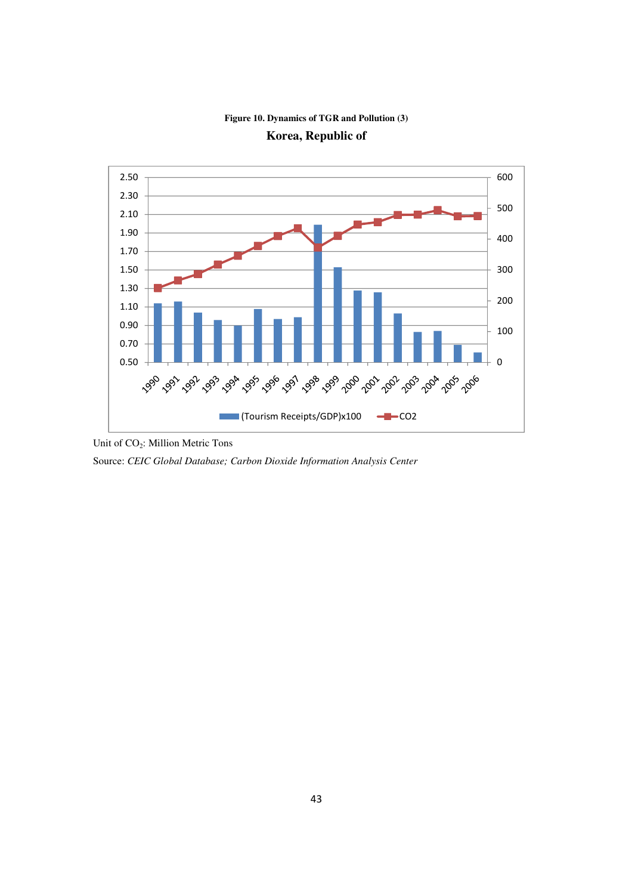### **Figure 10. Dynamics of TGR and Pollution (3)**





Unit of CO<sub>2</sub>: Million Metric Tons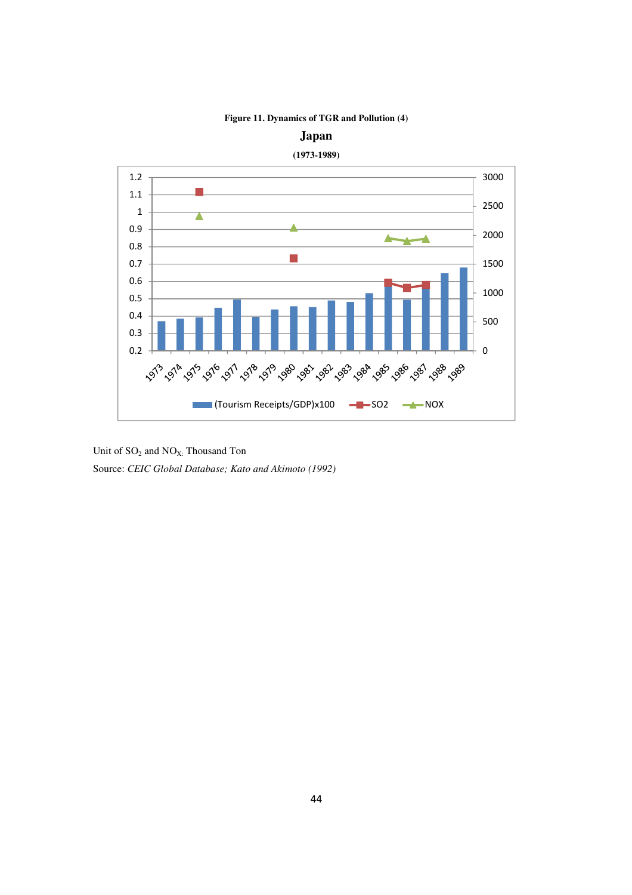

**Figure 11. Dynamics of TGR and Pollution (4)** 

**Japan** 

44

Unit of  $SO_2$  and  $NO_{X:}$  Thousand Ton Source: *CEIC Global Database; Kato and Akimoto (1992)*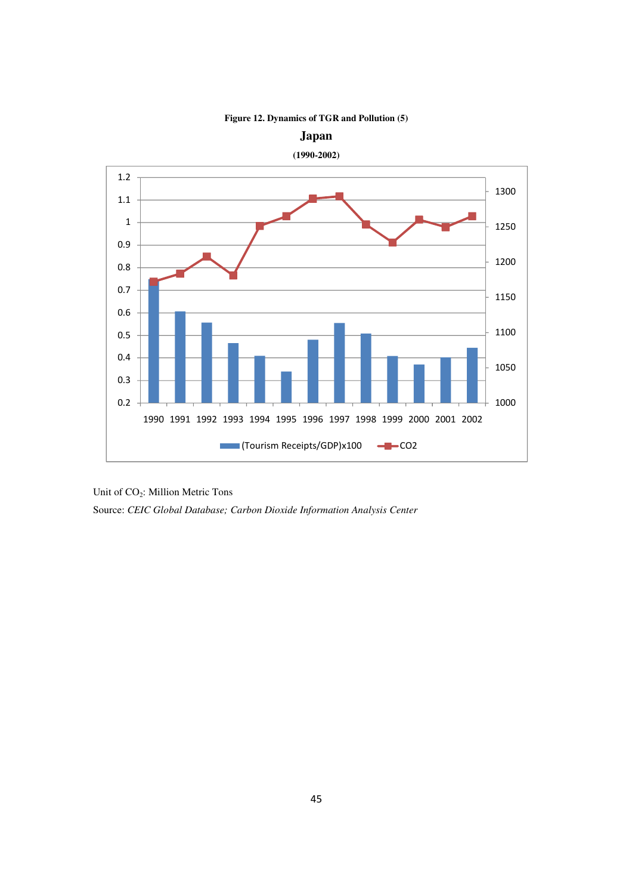

**Figure 12. Dynamics of TGR and Pollution (5)** 

Unit of CO2: Million Metric Tons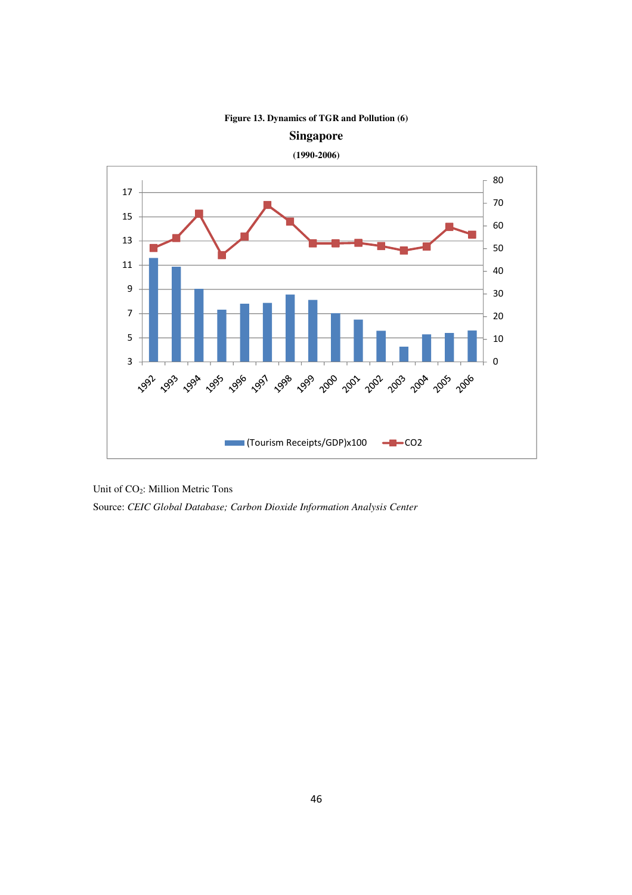

**Figure 13. Dynamics of TGR and Pollution (6)** 

Source: *CEIC Global Database; Carbon Dioxide Information Analysis Center*

Unit of CO2: Million Metric Tons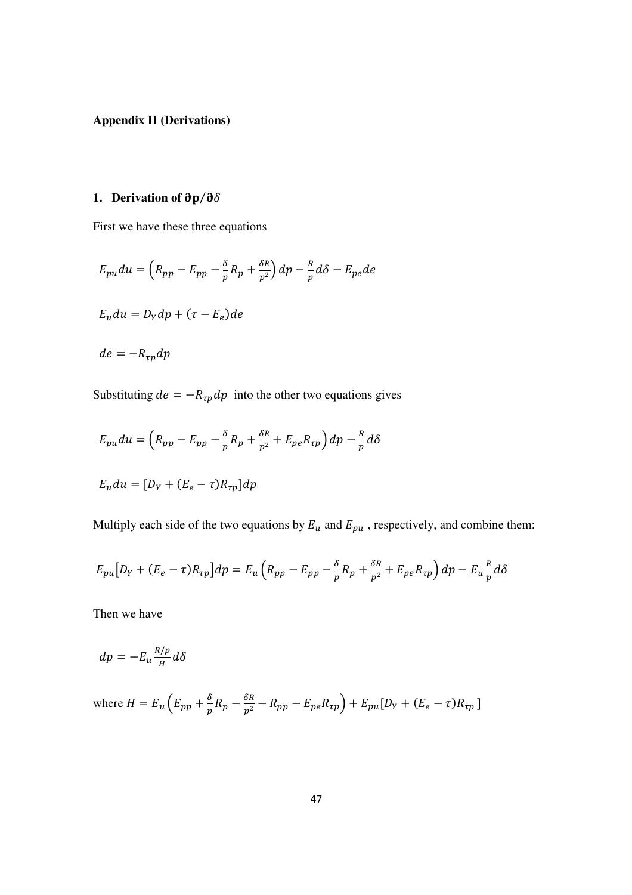**Appendix II (Derivations)** 

# 1. **Derivation of**  $\partial p / \partial \delta$

First we have these three equations

$$
E_{pu}du = \left(R_{pp} - E_{pp} - \frac{\delta}{p}R_p + \frac{\delta R}{p^2}\right)dp - \frac{R}{p}d\delta - E_{pe}de
$$
  

$$
E_u du = D_Y dp + (\tau - E_e)de
$$
  

$$
de = -R_{rp}dp
$$

Substituting  $de = -R_{\tau p}dp$  into the other two equations gives

$$
E_{pu}du = \left(R_{pp} - E_{pp} - \frac{\delta}{p}R_p + \frac{\delta R}{p^2} + E_{pe}R_{tp}\right)dp - \frac{R}{p}d\delta
$$

$$
E_u du = [D_Y + (E_e - \tau)R_{\tau p}] dp
$$

Multiply each side of the two equations by  $E_u$  and  $E_{pu}$ , respectively, and combine them:

$$
E_{pu}[D_Y + (E_e - \tau)R_{\tau p}]dp = E_u(R_{pp} - E_{pp} - \frac{\delta}{p}R_p + \frac{\delta R}{p^2} + E_{pe}R_{\tau p})dp - E_u \frac{R}{p}d\delta
$$

Then we have

$$
dp = -E_u \frac{R/p}{H} d\delta
$$

where 
$$
H = E_u \left( E_{pp} + \frac{\delta}{p} R_p - \frac{\delta R}{p^2} - R_{pp} - E_{pe} R_{tp} \right) + E_{pu} [D_Y + (E_e - \tau) R_{tp}]
$$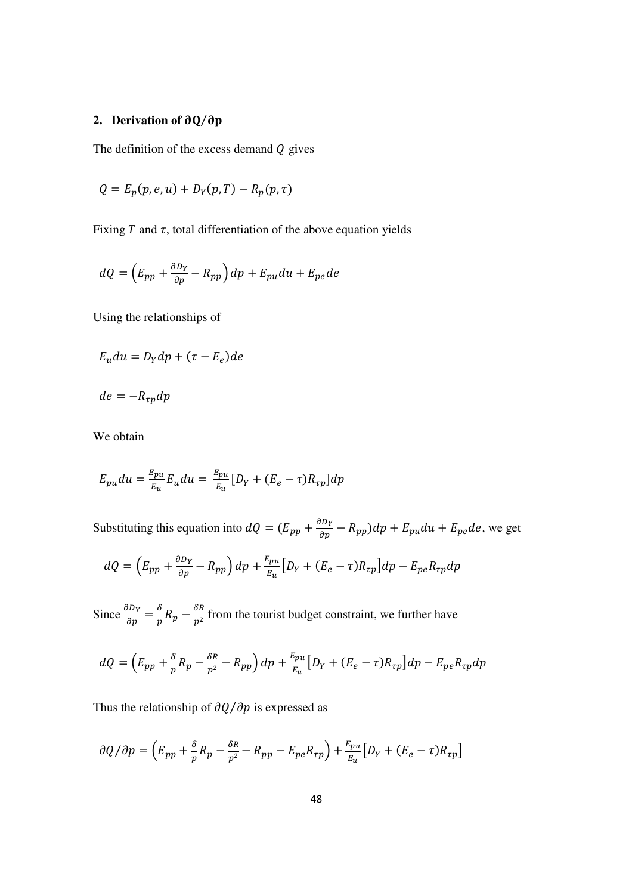### **2. Derivation of**  $\partial Q/\partial p$

The definition of the excess demand  $Q$  gives

$$
Q = E_p(p, e, u) + D_Y(p, T) - R_p(p, \tau)
$$

Fixing  $T$  and  $\tau$ , total differentiation of the above equation yields

$$
dQ = \left(E_{pp} + \frac{\partial D_Y}{\partial p} - R_{pp}\right)dp + E_{pu}du + E_{pe}de
$$

Using the relationships of

$$
E_u du = D_Y dp + (\tau - E_e) de
$$

$$
de=-R_{\tau p}dp
$$

We obtain

$$
E_{pu}du = \frac{E_{pu}}{E_u}E_u du = \frac{E_{pu}}{E_u}[D_Y + (E_e - \tau)R_{\tau p}]dp
$$

Substituting this equation into  $dQ = (E_{pp} + \frac{\partial D_Y}{\partial p} - R_{pp})dp + E_{pu}du + E_{pe}de$ , we get  $dQ = \left(E_{pp} + \frac{\partial D_Y}{\partial p} - R_{pp}\right)dp + \frac{E_{pu}}{E_u}\left[D_Y + (E_e - \tau)R_{\tau p}\right]dp - E_{pe}R_{\tau p}dp$ 

Since  $\frac{\partial D_Y}{\partial p} = \frac{\delta}{p}$  $\frac{\delta}{p}R_p - \frac{\delta R}{p^2}$  $\frac{\delta N}{p^2}$  from the tourist budget constraint, we further have

$$
dQ = \left(E_{pp} + \frac{\delta}{p}R_p - \frac{\delta R}{p^2} - R_{pp}\right)dp + \frac{E_{pu}}{E_u}\left[D_Y + (E_e - \tau)R_{\tau p}\right]dp - E_{pe}R_{\tau p}dp
$$

Thus the relationship of  $\partial Q / \partial p$  is expressed as

$$
\partial Q/\partial p = \left(E_{pp} + \frac{\delta}{p}R_p - \frac{\delta R}{p^2} - R_{pp} - E_{pe}R_{\tau p}\right) + \frac{E_{pu}}{E_u}\left[D_Y + (E_e - \tau)R_{\tau p}\right]
$$